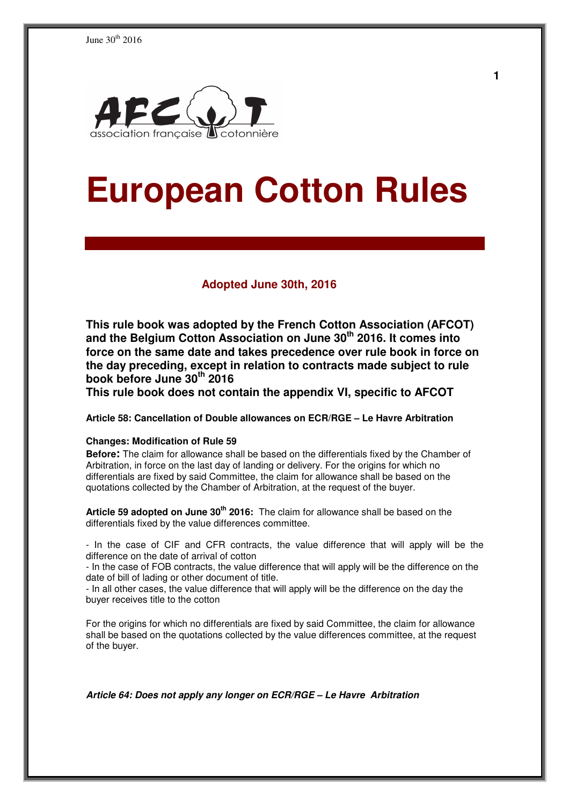

# **European Cotton Rules**

#### **Adopted June 30th, 2016**

**This rule book was adopted by the French Cotton Association (AFCOT) and the Belgium Cotton Association on June 30th 2016. It comes into force on the same date and takes precedence over rule book in force on the day preceding, except in relation to contracts made subject to rule book before June 30th 2016** 

**This rule book does not contain the appendix VI, specific to AFCOT** 

**Article 58: Cancellation of Double allowances on ECR/RGE – Le Havre Arbitration** 

#### **Changes: Modification of Rule 59**

**Before:** The claim for allowance shall be based on the differentials fixed by the Chamber of Arbitration, in force on the last day of landing or delivery. For the origins for which no differentials are fixed by said Committee, the claim for allowance shall be based on the quotations collected by the Chamber of Arbitration, at the request of the buyer.

**Article 59 adopted on June 30th 2016:** The claim for allowance shall be based on the differentials fixed by the value differences committee.

- In the case of CIF and CFR contracts, the value difference that will apply will be the difference on the date of arrival of cotton

- In the case of FOB contracts, the value difference that will apply will be the difference on the date of bill of lading or other document of title.

- In all other cases, the value difference that will apply will be the difference on the day the buyer receives title to the cotton

For the origins for which no differentials are fixed by said Committee, the claim for allowance shall be based on the quotations collected by the value differences committee, at the request of the buyer.

**Article 64: Does not apply any longer on ECR/RGE – Le Havre Arbitration**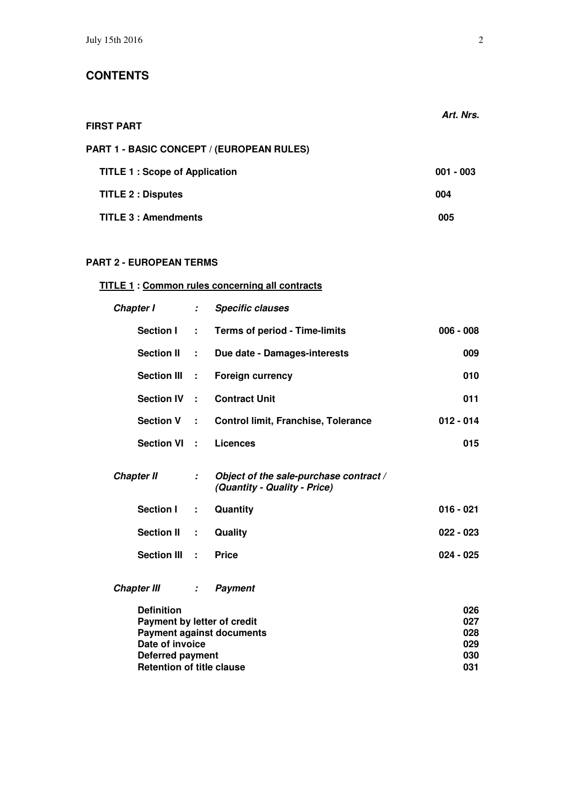|                                                  | Art. Nrs.   |
|--------------------------------------------------|-------------|
| <b>FIRST PART</b>                                |             |
| <b>PART 1 - BASIC CONCEPT / (EUROPEAN RULES)</b> |             |
| <b>TITLE 1: Scope of Application</b>             | $001 - 003$ |
| <b>TITLE 2 : Disputes</b>                        | 004         |
| <b>TITLE 3: Amendments</b>                       | 005         |

# **PART 2 - EUROPEAN TERMS**

# **TITLE 1 : Common rules concerning all contracts**

| Chapter I                        | ÷.                            | <b>Specific clauses</b>                                                |             |
|----------------------------------|-------------------------------|------------------------------------------------------------------------|-------------|
| <b>Section I</b>                 | ÷.                            | <b>Terms of period - Time-limits</b>                                   | $006 - 008$ |
| <b>Section II</b>                | ÷.                            | Due date - Damages-interests                                           | 009         |
| <b>Section III</b>               | ÷                             | <b>Foreign currency</b>                                                | 010         |
| <b>Section IV</b>                | ÷.                            | <b>Contract Unit</b>                                                   | 011         |
| <b>Section V</b>                 | ÷.                            | <b>Control limit, Franchise, Tolerance</b>                             | $012 - 014$ |
| <b>Section VI</b>                | ÷.                            | <b>Licences</b>                                                        | 015         |
| <b>Chapter II</b>                | $\mathcal{L}$                 | Object of the sale-purchase contract /<br>(Quantity - Quality - Price) |             |
| <b>Section I</b>                 | ÷                             | Quantity                                                               | $016 - 021$ |
| <b>Section II</b>                | ÷                             | Quality                                                                | $022 - 023$ |
| <b>Section III</b>               | $\mathbf{L}$                  | <b>Price</b>                                                           | $024 - 025$ |
| <b>Chapter III</b>               | $\mathcal{I}^{\mathcal{I}}$ . | <b>Payment</b>                                                         |             |
| <b>Definition</b>                |                               |                                                                        | 026         |
| Payment by letter of credit      |                               |                                                                        | 027         |
|                                  |                               | <b>Payment against documents</b>                                       | 028         |
| Date of invoice                  |                               |                                                                        | 029         |
| <b>Deferred payment</b>          |                               |                                                                        | 030         |
| <b>Retention of title clause</b> |                               |                                                                        | 031         |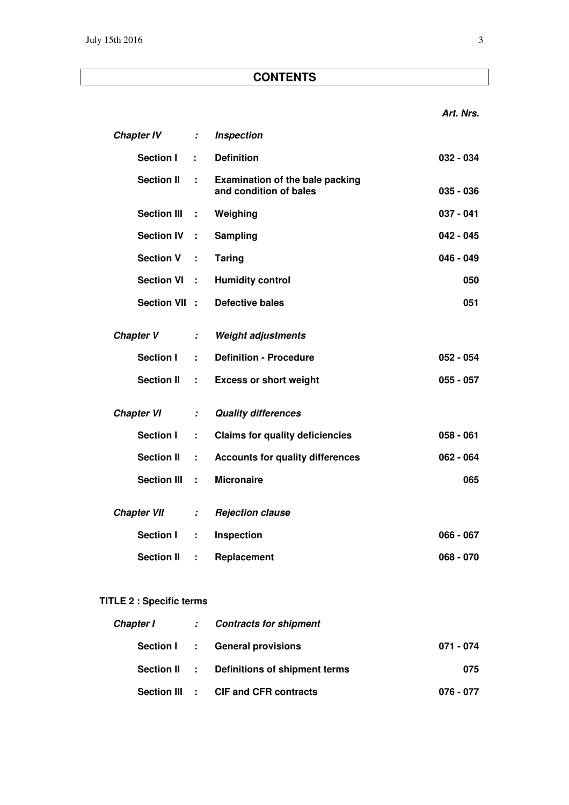|                    |                                       |                                                                  | Art. Nrs.                                                      |
|--------------------|---------------------------------------|------------------------------------------------------------------|----------------------------------------------------------------|
| <b>Chapter IV</b>  | $\mathcal{I}^{\mathcal{I}}$ .         | <b>Inspection</b>                                                |                                                                |
| Section I          | ÷                                     | <b>Definition</b>                                                | $032 - 034$                                                    |
| <b>Section II</b>  | ÷.                                    | <b>Examination of the bale packing</b><br>and condition of bales | $035 - 036$                                                    |
| <b>Section III</b> | ÷                                     | Weighing                                                         | $037 - 041$                                                    |
| <b>Section IV</b>  | ÷                                     | Sampling                                                         | $042 - 045$                                                    |
| <b>Section V</b>   | ÷                                     | <b>Taring</b>                                                    | $046 - 049$                                                    |
| <b>Section VI</b>  | ÷                                     | <b>Humidity control</b>                                          | 050                                                            |
|                    |                                       | <b>Defective bales</b>                                           | 051                                                            |
| <b>Chapter V</b>   | ÷                                     | <b>Weight adjustments</b>                                        |                                                                |
|                    |                                       |                                                                  | $052 - 054$                                                    |
|                    | ÷.                                    |                                                                  | $055 - 057$                                                    |
| <b>Chapter VI</b>  | $\mathcal{I}^{\pm}$                   | <b>Quality differences</b>                                       |                                                                |
| <b>Section I</b>   | ÷.                                    | <b>Claims for quality deficiencies</b>                           | $058 - 061$                                                    |
| <b>Section II</b>  | ÷                                     | <b>Accounts for quality differences</b>                          | $062 - 064$                                                    |
| <b>Section III</b> | ÷.                                    | <b>Micronaire</b>                                                | 065                                                            |
| <b>Chapter VII</b> | ÷                                     | <b>Rejection clause</b>                                          |                                                                |
| <b>Section I</b>   | ÷                                     | Inspection                                                       | $066 - 067$                                                    |
| <b>Section II</b>  | ÷.                                    | Replacement                                                      | $068 - 070$                                                    |
|                    | <b>Section I</b><br><b>Section II</b> | Section VII :<br>÷.                                              | <b>Definition - Procedure</b><br><b>Excess or short weight</b> |

# **TITLE 2 : Specific terms**

|  | Chapter I : Contracts for shipment         |           |
|--|--------------------------------------------|-----------|
|  | Section I: General provisions              | 071 - 074 |
|  | Section II : Definitions of shipment terms | 075       |
|  | Section III : CIF and CFR contracts        | 076 - 077 |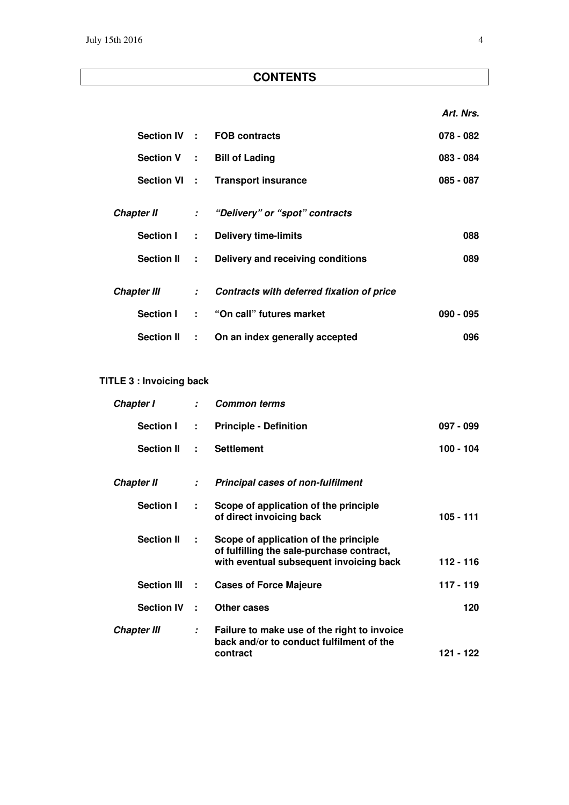**Art. Nrs.** 

|                    |         | Section IV : FOB contracts                  | $078 - 082$ |
|--------------------|---------|---------------------------------------------|-------------|
|                    |         | Section V : Bill of Lading                  | $083 - 084$ |
|                    |         | Section VI : Transport insurance            | $085 - 087$ |
|                    |         |                                             |             |
|                    |         | Chapter II : "Delivery" or "spot" contracts |             |
| <b>Section I</b>   | $1 - 1$ | <b>Delivery time-limits</b>                 | 088         |
| Section II :       |         | Delivery and receiving conditions           | 089         |
|                    |         |                                             |             |
| <b>Chapter III</b> |         | : Contracts with deferred fixation of price |             |
|                    |         | Section I: "On call" futures market         | $090 - 095$ |
| <b>Section II</b>  |         | : On an index generally accepted            | 096         |

# **TITLE 3 : Invoicing back**

| Chapter I          |                             | : Common terms                                                                                                                |             |
|--------------------|-----------------------------|-------------------------------------------------------------------------------------------------------------------------------|-------------|
| <b>Section I</b>   | $\mathbf{r}$                | <b>Principle - Definition</b>                                                                                                 | $097 - 099$ |
| <b>Section II</b>  | ÷.                          | <b>Settlement</b>                                                                                                             | $100 - 104$ |
| <b>Chapter II</b>  | $\mathcal{L}$               | <b>Principal cases of non-fulfilment</b>                                                                                      |             |
| Section I          | ÷                           | Scope of application of the principle<br>of direct invoicing back                                                             | 105 - 111   |
| <b>Section II</b>  | ÷.                          | Scope of application of the principle<br>of fulfilling the sale-purchase contract,<br>with eventual subsequent invoicing back | $112 - 116$ |
| <b>Section III</b> | ÷                           | <b>Cases of Force Majeure</b>                                                                                                 | $117 - 119$ |
| <b>Section IV</b>  | ÷                           | Other cases                                                                                                                   | 120         |
| <b>Chapter III</b> | $\mathcal{I}^{\mathcal{I}}$ | Failure to make use of the right to invoice<br>back and/or to conduct fulfilment of the<br>contract                           | 121 - 122   |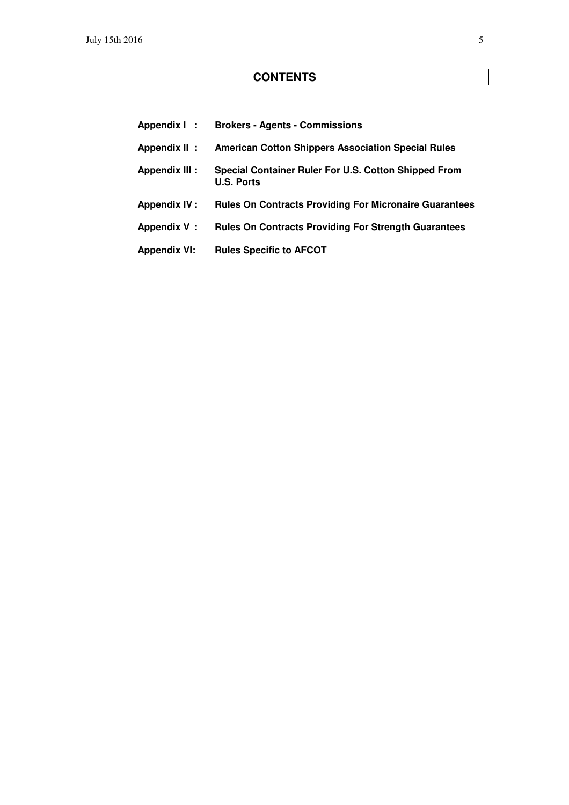| Appendix I:          | <b>Brokers - Agents - Commissions</b>                                     |
|----------------------|---------------------------------------------------------------------------|
| Appendix II:         | <b>American Cotton Shippers Association Special Rules</b>                 |
| <b>Appendix III:</b> | Special Container Ruler For U.S. Cotton Shipped From<br><b>U.S. Ports</b> |
| Appendix IV :        | <b>Rules On Contracts Providing For Micronaire Guarantees</b>             |
| Appendix V:          | <b>Rules On Contracts Providing For Strength Guarantees</b>               |
| <b>Appendix VI:</b>  | <b>Rules Specific to AFCOT</b>                                            |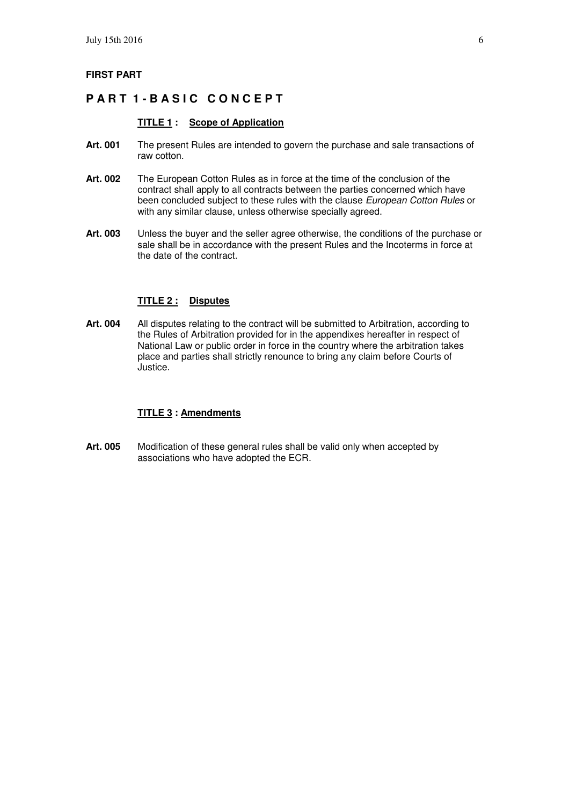#### **FIRST PART**

# **PART 1-BASIC CONCEPT**

#### **TITLE 1 : Scope of Application**

- **Art. 001** The present Rules are intended to govern the purchase and sale transactions of raw cotton.
- **Art. 002** The European Cotton Rules as in force at the time of the conclusion of the contract shall apply to all contracts between the parties concerned which have been concluded subject to these rules with the clause European Cotton Rules or with any similar clause, unless otherwise specially agreed.
- **Art. 003** Unless the buyer and the seller agree otherwise, the conditions of the purchase or sale shall be in accordance with the present Rules and the Incoterms in force at the date of the contract.

#### **TITLE 2 : Disputes**

**Art. 004** All disputes relating to the contract will be submitted to Arbitration, according to the Rules of Arbitration provided for in the appendixes hereafter in respect of National Law or public order in force in the country where the arbitration takes place and parties shall strictly renounce to bring any claim before Courts of Justice.

#### **TITLE 3 : Amendments**

**Art. 005** Modification of these general rules shall be valid only when accepted by associations who have adopted the ECR.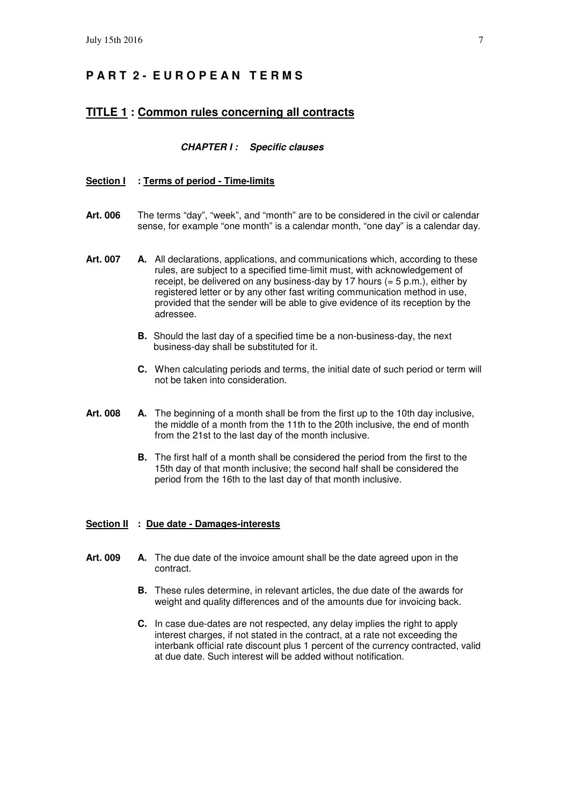# **P A R T 2 - E U R O P E A N T E R M S**

#### **TITLE 1 : Common rules concerning all contracts**

#### **CHAPTER I : Specific clauses**

#### **Section I : Terms of period - Time-limits**

- **Art. 006** The terms "day", "week", and "month" are to be considered in the civil or calendar sense, for example "one month" is a calendar month, "one day" is a calendar day.
- Art. 007 A. All declarations, applications, and communications which, according to these rules, are subject to a specified time-limit must, with acknowledgement of receipt, be delivered on any business-day by 17 hours  $(= 5 \text{ p.m.})$ , either by registered letter or by any other fast writing communication method in use, provided that the sender will be able to give evidence of its reception by the adressee.
	- **B.** Should the last day of a specified time be a non-business-day, the next business-day shall be substituted for it.
	- **C.** When calculating periods and terms, the initial date of such period or term will not be taken into consideration.
- **Art. 008 A.** The beginning of a month shall be from the first up to the 10th day inclusive, the middle of a month from the 11th to the 20th inclusive, the end of month from the 21st to the last day of the month inclusive.
	- **B.** The first half of a month shall be considered the period from the first to the 15th day of that month inclusive; the second half shall be considered the period from the 16th to the last day of that month inclusive.

#### **Section II : Due date - Damages-interests**

- **Art. 009 A.** The due date of the invoice amount shall be the date agreed upon in the contract.
	- **B.** These rules determine, in relevant articles, the due date of the awards for weight and quality differences and of the amounts due for invoicing back.
	- **C.** In case due-dates are not respected, any delay implies the right to apply interest charges, if not stated in the contract, at a rate not exceeding the interbank official rate discount plus 1 percent of the currency contracted, valid at due date. Such interest will be added without notification.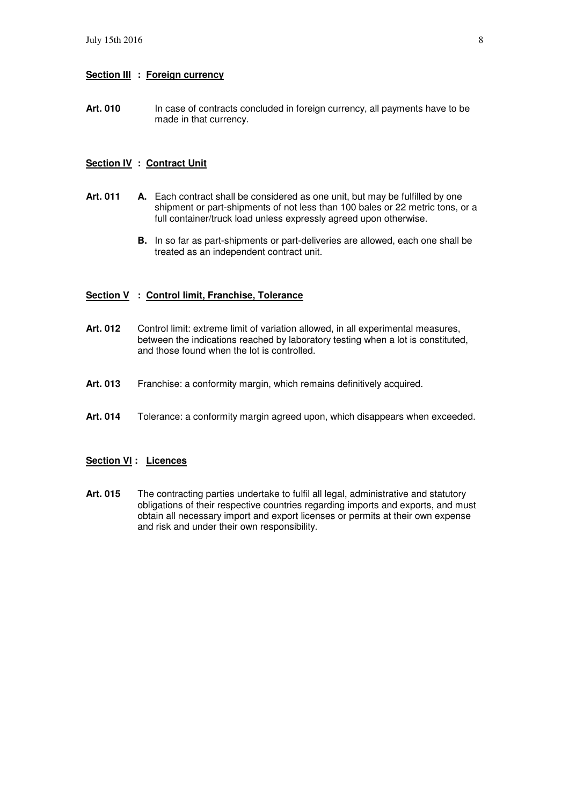#### **Section III : Foreign currency**

Art. 010 In case of contracts concluded in foreign currency, all payments have to be made in that currency.

#### **Section IV : Contract Unit**

- Art. 011 A. Each contract shall be considered as one unit, but may be fulfilled by one shipment or part-shipments of not less than 100 bales or 22 metric tons, or a full container/truck load unless expressly agreed upon otherwise.
	- **B.** In so far as part-shipments or part-deliveries are allowed, each one shall be treated as an independent contract unit.

#### **Section V : Control limit, Franchise, Tolerance**

- Art. 012 Control limit: extreme limit of variation allowed, in all experimental measures, between the indications reached by laboratory testing when a lot is constituted, and those found when the lot is controlled.
- Art. 013 Franchise: a conformity margin, which remains definitively acquired.
- **Art. 014** Tolerance: a conformity margin agreed upon, which disappears when exceeded.

#### **Section VI : Licences**

Art. 015 The contracting parties undertake to fulfil all legal, administrative and statutory obligations of their respective countries regarding imports and exports, and must obtain all necessary import and export licenses or permits at their own expense and risk and under their own responsibility.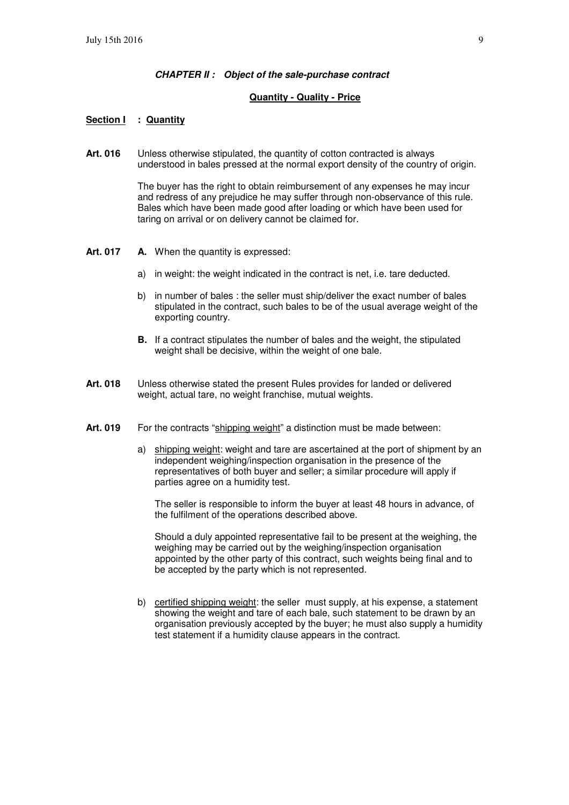#### **CHAPTER II : Object of the sale-purchase contract**

#### **Quantity - Quality - Price**

#### **Section I : Quantity**

**Art. 016** Unless otherwise stipulated, the quantity of cotton contracted is always understood in bales pressed at the normal export density of the country of origin.

> The buyer has the right to obtain reimbursement of any expenses he may incur and redress of any prejudice he may suffer through non-observance of this rule. Bales which have been made good after loading or which have been used for taring on arrival or on delivery cannot be claimed for.

- **Art. 017 A.** When the quantity is expressed:
	- a) in weight: the weight indicated in the contract is net, i.e. tare deducted.
	- b) in number of bales : the seller must ship/deliver the exact number of bales stipulated in the contract, such bales to be of the usual average weight of the exporting country.
	- **B.** If a contract stipulates the number of bales and the weight, the stipulated weight shall be decisive, within the weight of one bale.
- **Art. 018** Unless otherwise stated the present Rules provides for landed or delivered weight, actual tare, no weight franchise, mutual weights.
- Art. 019 For the contracts "shipping weight" a distinction must be made between:
	- a) shipping weight: weight and tare are ascertained at the port of shipment by an independent weighing/inspection organisation in the presence of the representatives of both buyer and seller; a similar procedure will apply if parties agree on a humidity test.

 The seller is responsible to inform the buyer at least 48 hours in advance, of the fulfilment of the operations described above.

 Should a duly appointed representative fail to be present at the weighing, the weighing may be carried out by the weighing/inspection organisation appointed by the other party of this contract, such weights being final and to be accepted by the party which is not represented.

 b) certified shipping weight: the seller must supply, at his expense, a statement showing the weight and tare of each bale, such statement to be drawn by an organisation previously accepted by the buyer; he must also supply a humidity test statement if a humidity clause appears in the contract.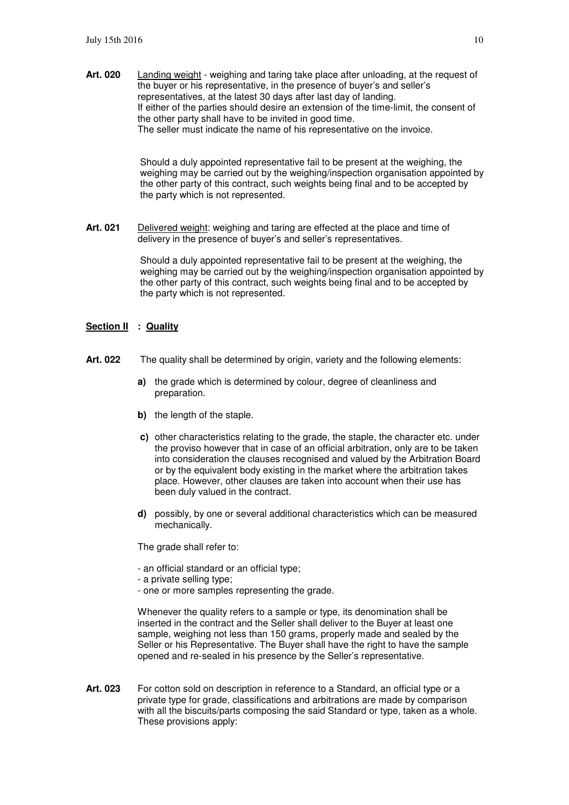**Art. 020** Landing weight - weighing and taring take place after unloading, at the request of the buyer or his representative, in the presence of buyer's and seller's representatives, at the latest 30 days after last day of landing. If either of the parties should desire an extension of the time-limit, the consent of the other party shall have to be invited in good time. The seller must indicate the name of his representative on the invoice.

> Should a duly appointed representative fail to be present at the weighing, the weighing may be carried out by the weighing/inspection organisation appointed by the other party of this contract, such weights being final and to be accepted by the party which is not represented.

**Art. 021** Delivered weight: weighing and taring are effected at the place and time of delivery in the presence of buyer's and seller's representatives.

> Should a duly appointed representative fail to be present at the weighing, the weighing may be carried out by the weighing/inspection organisation appointed by the other party of this contract, such weights being final and to be accepted by the party which is not represented.

#### **Section II : Quality**

- **Art. 022** The quality shall be determined by origin, variety and the following elements:
	- **a)** the grade which is determined by colour, degree of cleanliness and preparation.
	- **b**) the length of the staple.
	- **c)** other characteristics relating to the grade, the staple, the character etc. under the proviso however that in case of an official arbitration, only are to be taken into consideration the clauses recognised and valued by the Arbitration Board or by the equivalent body existing in the market where the arbitration takes place. However, other clauses are taken into account when their use has been duly valued in the contract.
	- **d)** possibly, by one or several additional characteristics which can be measured mechanically.

The grade shall refer to:

- an official standard or an official type;
- a private selling type;
- one or more samples representing the grade.

 Whenever the quality refers to a sample or type, its denomination shall be inserted in the contract and the Seller shall deliver to the Buyer at least one sample, weighing not less than 150 grams, properly made and sealed by the Seller or his Representative. The Buyer shall have the right to have the sample opened and re-sealed in his presence by the Seller's representative.

**Art. 023** For cotton sold on description in reference to a Standard, an official type or a private type for grade, classifications and arbitrations are made by comparison with all the biscuits/parts composing the said Standard or type, taken as a whole. These provisions apply: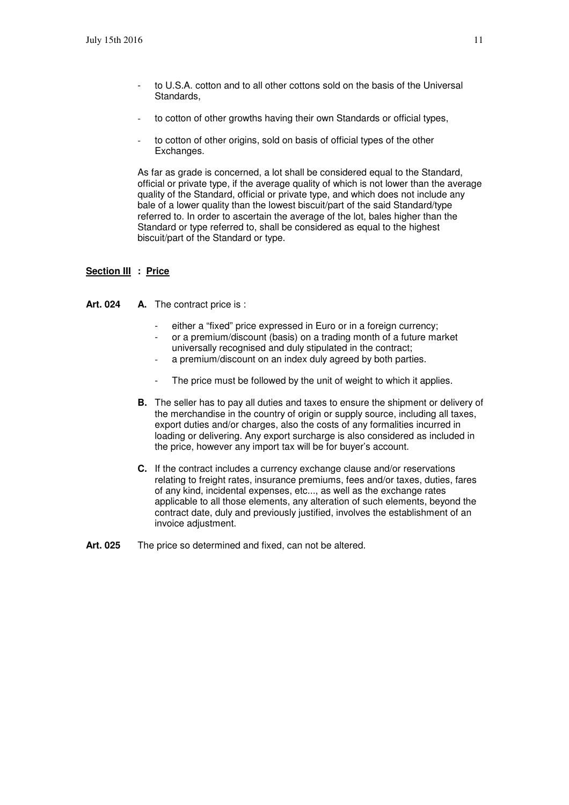- to U.S.A. cotton and to all other cottons sold on the basis of the Universal Standards,
- to cotton of other growths having their own Standards or official types,
- to cotton of other origins, sold on basis of official types of the other Exchanges.

 As far as grade is concerned, a lot shall be considered equal to the Standard, official or private type, if the average quality of which is not lower than the average quality of the Standard, official or private type, and which does not include any bale of a lower quality than the lowest biscuit/part of the said Standard/type referred to. In order to ascertain the average of the lot, bales higher than the Standard or type referred to, shall be considered as equal to the highest biscuit/part of the Standard or type.

#### **Section III : Price**

Art. 024 A. The contract price is :

- either a "fixed" price expressed in Euro or in a foreign currency;
- or a premium/discount (basis) on a trading month of a future market universally recognised and duly stipulated in the contract;
- a premium/discount on an index duly agreed by both parties.
- The price must be followed by the unit of weight to which it applies.
- **B.** The seller has to pay all duties and taxes to ensure the shipment or delivery of the merchandise in the country of origin or supply source, including all taxes, export duties and/or charges, also the costs of any formalities incurred in loading or delivering. Any export surcharge is also considered as included in the price, however any import tax will be for buyer's account.
- **C.** If the contract includes a currency exchange clause and/or reservations relating to freight rates, insurance premiums, fees and/or taxes, duties, fares of any kind, incidental expenses, etc..., as well as the exchange rates applicable to all those elements, any alteration of such elements, beyond the contract date, duly and previously justified, involves the establishment of an invoice adjustment.
- Art. 025 The price so determined and fixed, can not be altered.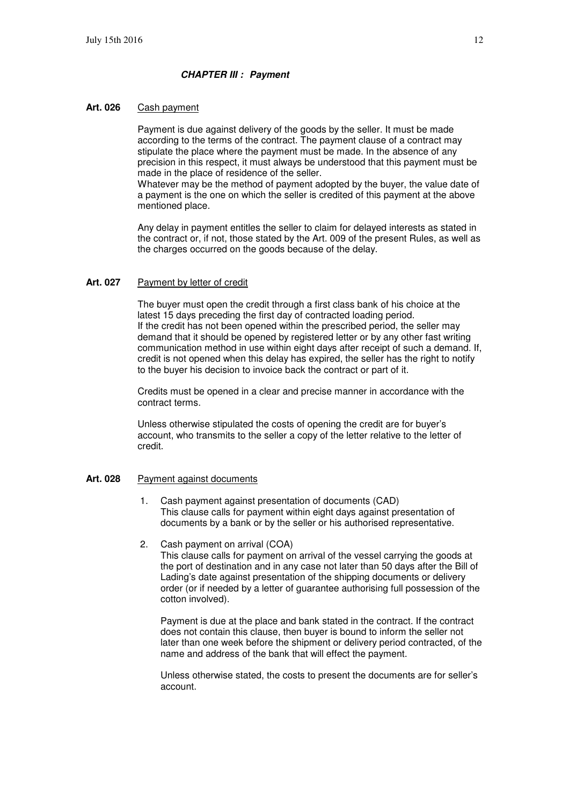#### **CHAPTER III : Payment**

#### **Art. 026** Cash payment

 Payment is due against delivery of the goods by the seller. It must be made according to the terms of the contract. The payment clause of a contract may stipulate the place where the payment must be made. In the absence of any precision in this respect, it must always be understood that this payment must be made in the place of residence of the seller.

 Whatever may be the method of payment adopted by the buyer, the value date of a payment is the one on which the seller is credited of this payment at the above mentioned place.

 Any delay in payment entitles the seller to claim for delayed interests as stated in the contract or, if not, those stated by the Art. 009 of the present Rules, as well as the charges occurred on the goods because of the delay.

#### **Art. 027** Payment by letter of credit

 The buyer must open the credit through a first class bank of his choice at the latest 15 days preceding the first day of contracted loading period. If the credit has not been opened within the prescribed period, the seller may demand that it should be opened by registered letter or by any other fast writing communication method in use within eight days after receipt of such a demand. If, credit is not opened when this delay has expired, the seller has the right to notify to the buyer his decision to invoice back the contract or part of it.

 Credits must be opened in a clear and precise manner in accordance with the contract terms.

 Unless otherwise stipulated the costs of opening the credit are for buyer's account, who transmits to the seller a copy of the letter relative to the letter of credit.

#### **Art. 028** Payment against documents

- 1. Cash payment against presentation of documents (CAD) This clause calls for payment within eight days against presentation of documents by a bank or by the seller or his authorised representative.
- 2. Cash payment on arrival (COA)

This clause calls for payment on arrival of the vessel carrying the goods at the port of destination and in any case not later than 50 days after the Bill of Lading's date against presentation of the shipping documents or delivery order (or if needed by a letter of guarantee authorising full possession of the cotton involved).

Payment is due at the place and bank stated in the contract. If the contract does not contain this clause, then buyer is bound to inform the seller not later than one week before the shipment or delivery period contracted, of the name and address of the bank that will effect the payment.

Unless otherwise stated, the costs to present the documents are for seller's account.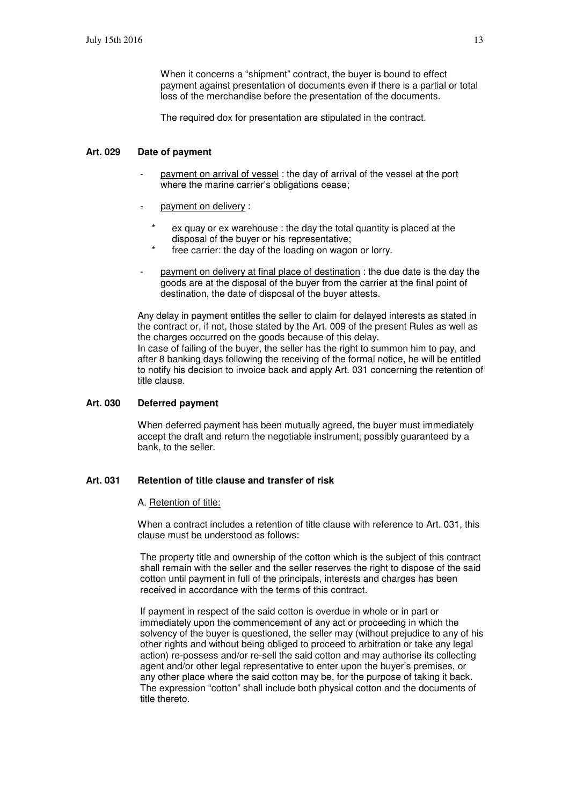When it concerns a "shipment" contract, the buyer is bound to effect payment against presentation of documents even if there is a partial or total loss of the merchandise before the presentation of the documents.

The required dox for presentation are stipulated in the contract.

#### **Art. 029 Date of payment**

- payment on arrival of vessel : the day of arrival of the vessel at the port where the marine carrier's obligations cease;
- payment on delivery :
	- ex quay or ex warehouse : the day the total quantity is placed at the disposal of the buyer or his representative;
	- free carrier: the day of the loading on wagon or lorry.
- payment on delivery at final place of destination : the due date is the day the goods are at the disposal of the buyer from the carrier at the final point of destination, the date of disposal of the buyer attests.

Any delay in payment entitles the seller to claim for delayed interests as stated in the contract or, if not, those stated by the Art. 009 of the present Rules as well as the charges occurred on the goods because of this delay. In case of failing of the buyer, the seller has the right to summon him to pay, and

after 8 banking days following the receiving of the formal notice, he will be entitled to notify his decision to invoice back and apply Art. 031 concerning the retention of title clause.

### **Art. 030 Deferred payment**

When deferred payment has been mutually agreed, the buyer must immediately accept the draft and return the negotiable instrument, possibly guaranteed by a bank, to the seller.

#### **Art. 031 Retention of title clause and transfer of risk**

#### A. Retention of title:

When a contract includes a retention of title clause with reference to Art. 031, this clause must be understood as follows:

The property title and ownership of the cotton which is the subject of this contract shall remain with the seller and the seller reserves the right to dispose of the said cotton until payment in full of the principals, interests and charges has been received in accordance with the terms of this contract.

If payment in respect of the said cotton is overdue in whole or in part or immediately upon the commencement of any act or proceeding in which the solvency of the buyer is questioned, the seller may (without prejudice to any of his other rights and without being obliged to proceed to arbitration or take any legal action) re-possess and/or re-sell the said cotton and may authorise its collecting agent and/or other legal representative to enter upon the buyer's premises, or any other place where the said cotton may be, for the purpose of taking it back. The expression "cotton" shall include both physical cotton and the documents of title thereto.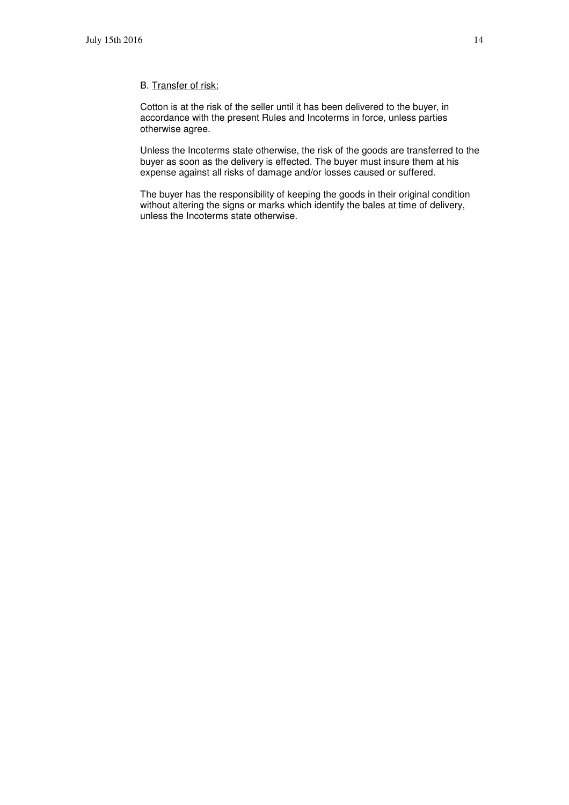#### B. Transfer of risk:

Cotton is at the risk of the seller until it has been delivered to the buyer, in accordance with the present Rules and Incoterms in force, unless parties otherwise agree.

Unless the Incoterms state otherwise, the risk of the goods are transferred to the buyer as soon as the delivery is effected. The buyer must insure them at his expense against all risks of damage and/or losses caused or suffered.

The buyer has the responsibility of keeping the goods in their original condition without altering the signs or marks which identify the bales at time of delivery, unless the Incoterms state otherwise.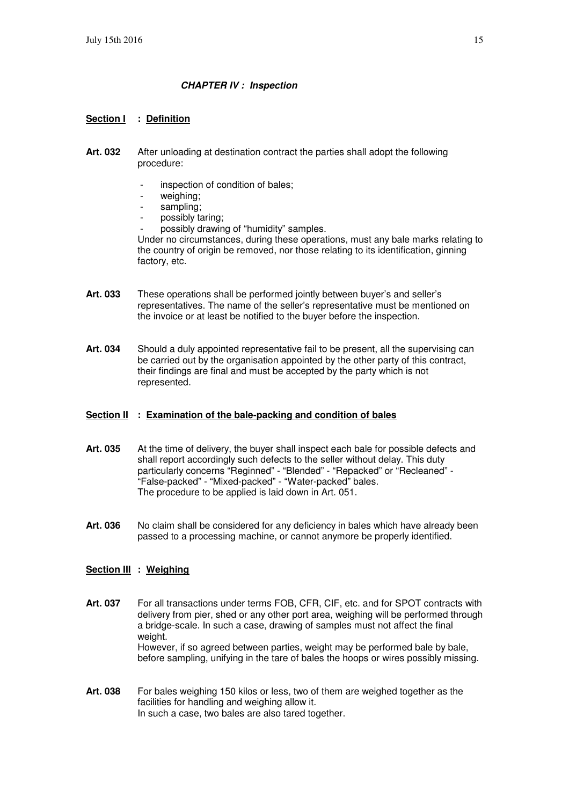#### **CHAPTER IV : Inspection**

#### **Section I : Definition**

- **Art. 032** After unloading at destination contract the parties shall adopt the following procedure:
	- inspection of condition of bales;
	- weighing:
	- sampling:
	- possibly taring;
	- possibly drawing of "humidity" samples.

Under no circumstances, during these operations, must any bale marks relating to the country of origin be removed, nor those relating to its identification, ginning factory, etc.

- **Art. 033** These operations shall be performed jointly between buyer's and seller's representatives. The name of the seller's representative must be mentioned on the invoice or at least be notified to the buyer before the inspection.
- **Art. 034** Should a duly appointed representative fail to be present, all the supervising can be carried out by the organisation appointed by the other party of this contract, their findings are final and must be accepted by the party which is not represented.

#### **Section II : Examination of the bale-packing and condition of bales**

- **Art. 035** At the time of delivery, the buyer shall inspect each bale for possible defects and shall report accordingly such defects to the seller without delay. This duty particularly concerns "Reginned" - "Blended" - "Repacked" or "Recleaned" - "False-packed" - "Mixed-packed" - "Water-packed" bales. The procedure to be applied is laid down in Art. 051.
- **Art. 036** No claim shall be considered for any deficiency in bales which have already been passed to a processing machine, or cannot anymore be properly identified.

#### **Section III : Weighing**

- **Art. 037** For all transactions under terms FOB, CFR, CIF, etc. and for SPOT contracts with delivery from pier, shed or any other port area, weighing will be performed through a bridge-scale. In such a case, drawing of samples must not affect the final weight. However, if so agreed between parties, weight may be performed bale by bale, before sampling, unifying in the tare of bales the hoops or wires possibly missing.
- **Art. 038** For bales weighing 150 kilos or less, two of them are weighed together as the facilities for handling and weighing allow it. In such a case, two bales are also tared together.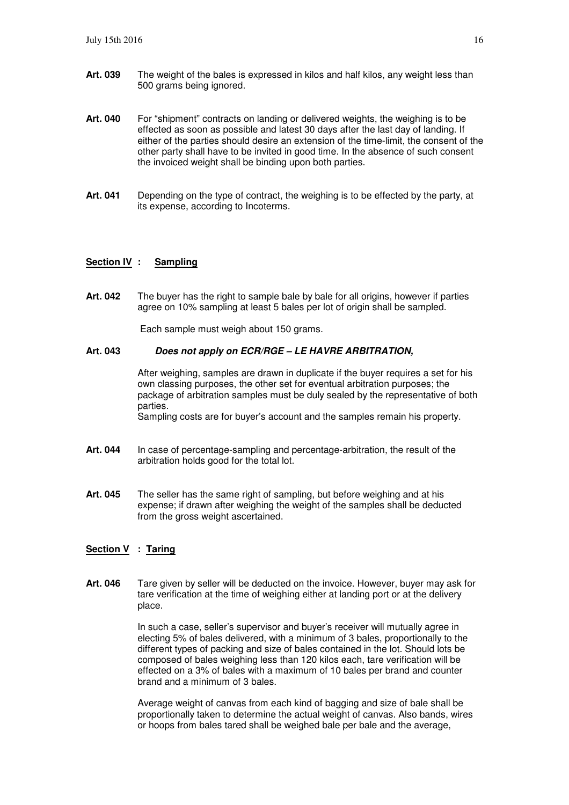- **Art. 039** The weight of the bales is expressed in kilos and half kilos, any weight less than 500 grams being ignored.
- **Art. 040** For "shipment" contracts on landing or delivered weights, the weighing is to be effected as soon as possible and latest 30 days after the last day of landing. If either of the parties should desire an extension of the time-limit, the consent of the other party shall have to be invited in good time. In the absence of such consent the invoiced weight shall be binding upon both parties.
- **Art. 041** Depending on the type of contract, the weighing is to be effected by the party, at its expense, according to Incoterms.

#### **Section IV : Sampling**

**Art. 042** The buyer has the right to sample bale by bale for all origins, however if parties agree on 10% sampling at least 5 bales per lot of origin shall be sampled.

Each sample must weigh about 150 grams.

#### **Art. 043 Does not apply on ECR/RGE – LE HAVRE ARBITRATION,**

After weighing, samples are drawn in duplicate if the buyer requires a set for his own classing purposes, the other set for eventual arbitration purposes; the package of arbitration samples must be duly sealed by the representative of both parties.

Sampling costs are for buyer's account and the samples remain his property.

- **Art. 044** In case of percentage-sampling and percentage-arbitration, the result of the arbitration holds good for the total lot.
- **Art. 045** The seller has the same right of sampling, but before weighing and at his expense; if drawn after weighing the weight of the samples shall be deducted from the gross weight ascertained.

#### **Section V : Taring**

**Art. 046** Tare given by seller will be deducted on the invoice. However, buyer may ask for tare verification at the time of weighing either at landing port or at the delivery place.

> In such a case, seller's supervisor and buyer's receiver will mutually agree in electing 5% of bales delivered, with a minimum of 3 bales, proportionally to the different types of packing and size of bales contained in the lot. Should lots be composed of bales weighing less than 120 kilos each, tare verification will be effected on a 3% of bales with a maximum of 10 bales per brand and counter brand and a minimum of 3 bales.

 Average weight of canvas from each kind of bagging and size of bale shall be proportionally taken to determine the actual weight of canvas. Also bands, wires or hoops from bales tared shall be weighed bale per bale and the average,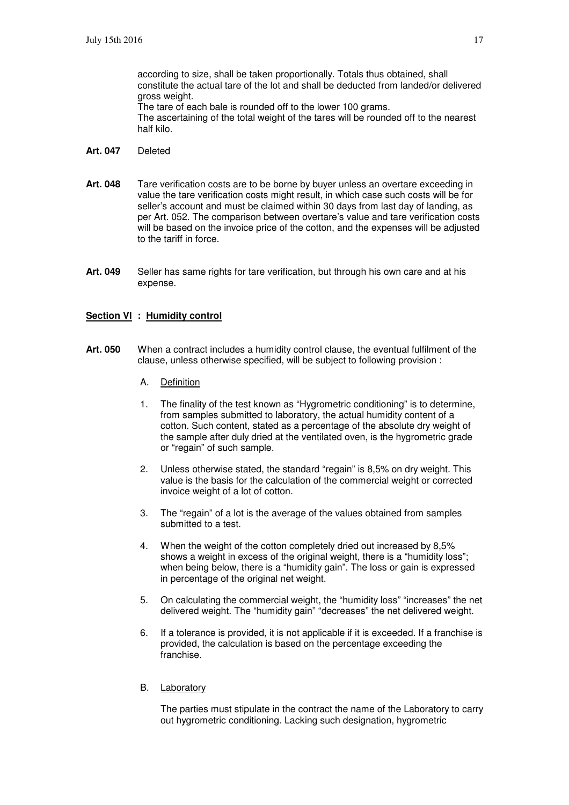according to size, shall be taken proportionally. Totals thus obtained, shall constitute the actual tare of the lot and shall be deducted from landed/or delivered gross weight. The tare of each bale is rounded off to the lower 100 grams.

 The ascertaining of the total weight of the tares will be rounded off to the nearest half kilo.

- **Art. 047** Deleted
- **Art. 048** Tare verification costs are to be borne by buyer unless an overtare exceeding in value the tare verification costs might result, in which case such costs will be for seller's account and must be claimed within 30 days from last day of landing, as per Art. 052. The comparison between overtare's value and tare verification costs will be based on the invoice price of the cotton, and the expenses will be adjusted to the tariff in force.
- **Art. 049** Seller has same rights for tare verification, but through his own care and at his expense.

#### **Section VI : Humidity control**

- **Art. 050** When a contract includes a humidity control clause, the eventual fulfilment of the clause, unless otherwise specified, will be subject to following provision :
	- A. Definition
	- 1. The finality of the test known as "Hygrometric conditioning" is to determine, from samples submitted to laboratory, the actual humidity content of a cotton. Such content, stated as a percentage of the absolute dry weight of the sample after duly dried at the ventilated oven, is the hygrometric grade or "regain" of such sample.
	- 2. Unless otherwise stated, the standard "regain" is 8,5% on dry weight. This value is the basis for the calculation of the commercial weight or corrected invoice weight of a lot of cotton.
	- 3. The "regain" of a lot is the average of the values obtained from samples submitted to a test.
	- 4. When the weight of the cotton completely dried out increased by 8,5% shows a weight in excess of the original weight, there is a "humidity loss"; when being below, there is a "humidity gain". The loss or gain is expressed in percentage of the original net weight.
	- 5. On calculating the commercial weight, the "humidity loss" "increases" the net delivered weight. The "humidity gain" "decreases" the net delivered weight.
	- 6. If a tolerance is provided, it is not applicable if it is exceeded. If a franchise is provided, the calculation is based on the percentage exceeding the franchise.
	- B. Laboratory

 The parties must stipulate in the contract the name of the Laboratory to carry out hygrometric conditioning. Lacking such designation, hygrometric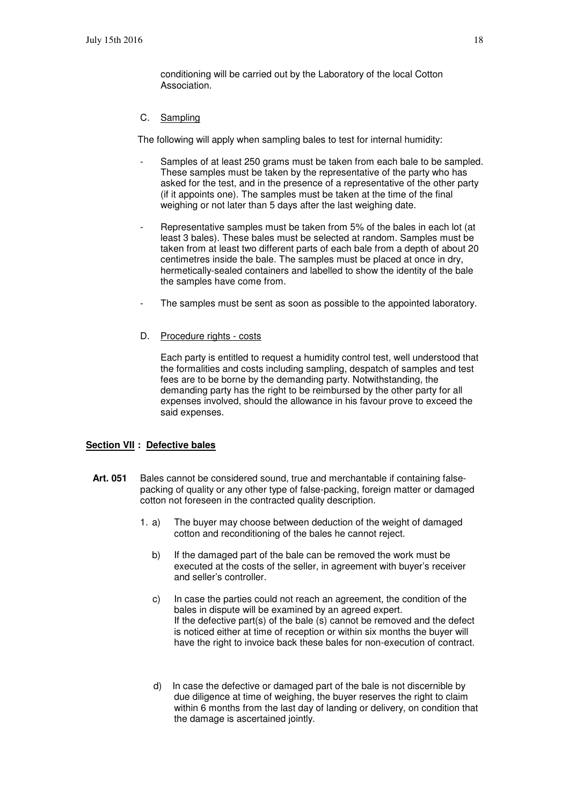conditioning will be carried out by the Laboratory of the local Cotton Association.

#### C. Sampling

The following will apply when sampling bales to test for internal humidity:

- Samples of at least 250 grams must be taken from each bale to be sampled. These samples must be taken by the representative of the party who has asked for the test, and in the presence of a representative of the other party (if it appoints one). The samples must be taken at the time of the final weighing or not later than 5 days after the last weighing date.
- Representative samples must be taken from 5% of the bales in each lot (at least 3 bales). These bales must be selected at random. Samples must be taken from at least two different parts of each bale from a depth of about 20 centimetres inside the bale. The samples must be placed at once in dry, hermetically-sealed containers and labelled to show the identity of the bale the samples have come from.
- The samples must be sent as soon as possible to the appointed laboratory.

#### D. Procedure rights - costs

 Each party is entitled to request a humidity control test, well understood that the formalities and costs including sampling, despatch of samples and test fees are to be borne by the demanding party. Notwithstanding, the demanding party has the right to be reimbursed by the other party for all expenses involved, should the allowance in his favour prove to exceed the said expenses.

#### **Section VII : Defective bales**

- **Art. 051** Bales cannot be considered sound, true and merchantable if containing falsepacking of quality or any other type of false-packing, foreign matter or damaged cotton not foreseen in the contracted quality description.
	- 1. a) The buyer may choose between deduction of the weight of damaged cotton and reconditioning of the bales he cannot reject.
		- b) If the damaged part of the bale can be removed the work must be executed at the costs of the seller, in agreement with buyer's receiver and seller's controller.
		- c) In case the parties could not reach an agreement, the condition of the bales in dispute will be examined by an agreed expert. If the defective part(s) of the bale (s) cannot be removed and the defect is noticed either at time of reception or within six months the buyer will have the right to invoice back these bales for non-execution of contract.
		- d) In case the defective or damaged part of the bale is not discernible by due diligence at time of weighing, the buyer reserves the right to claim within 6 months from the last day of landing or delivery, on condition that the damage is ascertained jointly.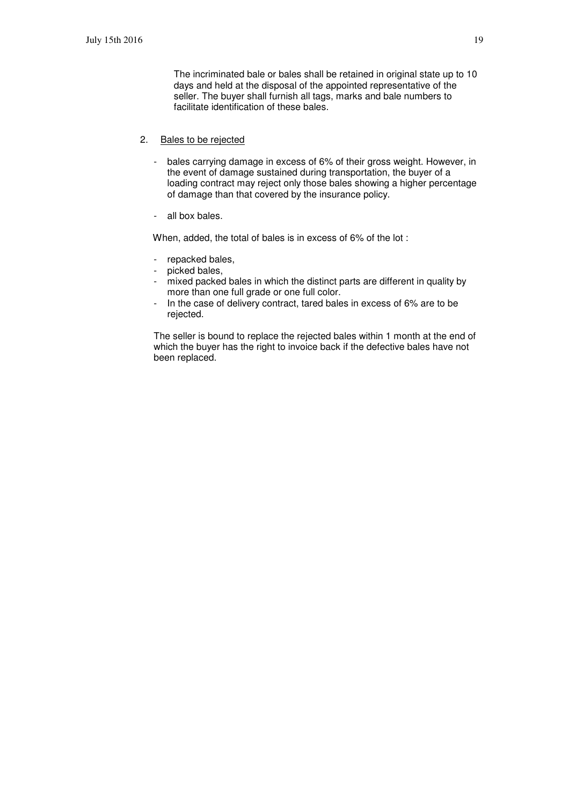The incriminated bale or bales shall be retained in original state up to 10 days and held at the disposal of the appointed representative of the seller. The buyer shall furnish all tags, marks and bale numbers to facilitate identification of these bales.

- 2. Bales to be rejected
	- bales carrying damage in excess of 6% of their gross weight. However, in the event of damage sustained during transportation, the buyer of a loading contract may reject only those bales showing a higher percentage of damage than that covered by the insurance policy.
	- all box bales.

When, added, the total of bales is in excess of 6% of the lot :

- repacked bales,
- picked bales,
- mixed packed bales in which the distinct parts are different in quality by more than one full grade or one full color.
- In the case of delivery contract, tared bales in excess of 6% are to be rejected.

The seller is bound to replace the rejected bales within 1 month at the end of which the buyer has the right to invoice back if the defective bales have not been replaced.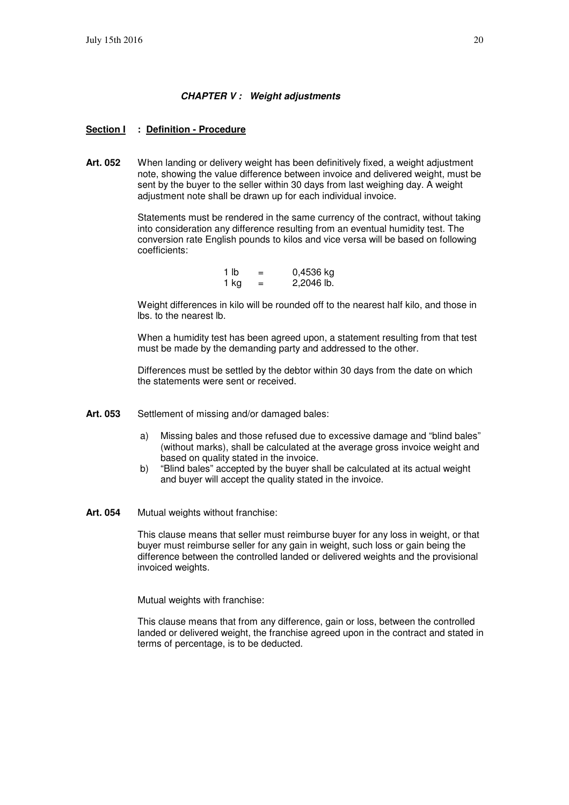#### **CHAPTER V : Weight adjustments**

#### **Section I : Definition - Procedure**

**Art. 052** When landing or delivery weight has been definitively fixed, a weight adjustment note, showing the value difference between invoice and delivered weight, must be sent by the buyer to the seller within 30 days from last weighing day. A weight adjustment note shall be drawn up for each individual invoice.

> Statements must be rendered in the same currency of the contract, without taking into consideration any difference resulting from an eventual humidity test. The conversion rate English pounds to kilos and vice versa will be based on following coefficients:

| 1 lb | $=$ | 0,4536 kg  |
|------|-----|------------|
| 1 ka | $=$ | 2,2046 lb. |

 Weight differences in kilo will be rounded off to the nearest half kilo, and those in lbs. to the nearest lb.

 When a humidity test has been agreed upon, a statement resulting from that test must be made by the demanding party and addressed to the other.

 Differences must be settled by the debtor within 30 days from the date on which the statements were sent or received.

- Art. 053 Settlement of missing and/or damaged bales:
	- a) Missing bales and those refused due to excessive damage and "blind bales" (without marks), shall be calculated at the average gross invoice weight and based on quality stated in the invoice.
	- b) "Blind bales" accepted by the buyer shall be calculated at its actual weight and buyer will accept the quality stated in the invoice.
- **Art. 054** Mutual weights without franchise:

 This clause means that seller must reimburse buyer for any loss in weight, or that buyer must reimburse seller for any gain in weight, such loss or gain being the difference between the controlled landed or delivered weights and the provisional invoiced weights.

Mutual weights with franchise:

 This clause means that from any difference, gain or loss, between the controlled landed or delivered weight, the franchise agreed upon in the contract and stated in terms of percentage, is to be deducted.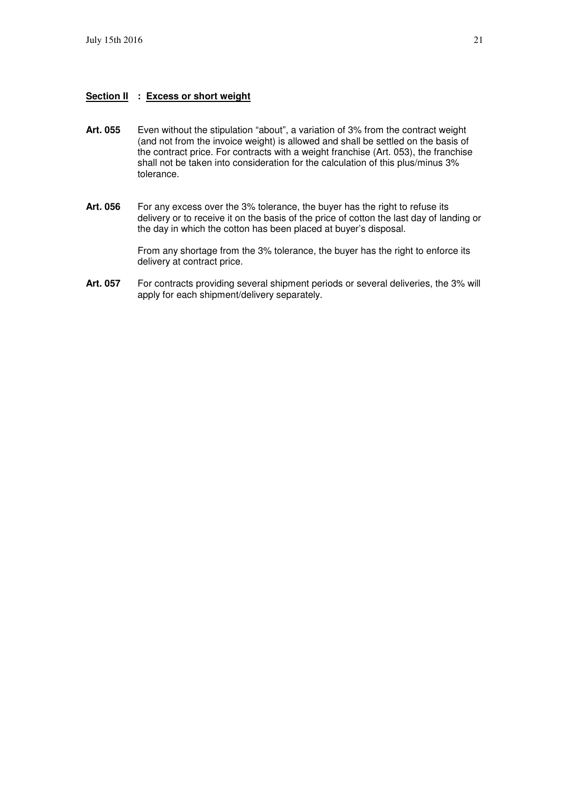#### **Section II : Excess or short weight**

- **Art. 055** Even without the stipulation "about", a variation of 3% from the contract weight (and not from the invoice weight) is allowed and shall be settled on the basis of the contract price. For contracts with a weight franchise (Art. 053), the franchise shall not be taken into consideration for the calculation of this plus/minus 3% tolerance.
- Art. 056 For any excess over the 3% tolerance, the buyer has the right to refuse its delivery or to receive it on the basis of the price of cotton the last day of landing or the day in which the cotton has been placed at buyer's disposal.

 From any shortage from the 3% tolerance, the buyer has the right to enforce its delivery at contract price.

Art. 057 For contracts providing several shipment periods or several deliveries, the 3% will apply for each shipment/delivery separately.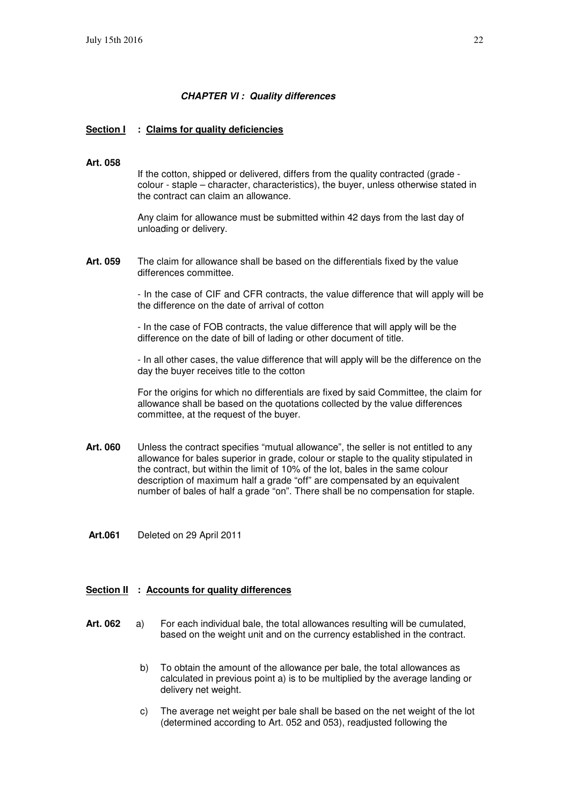#### **CHAPTER VI : Quality differences**

#### **Section I : Claims for quality deficiencies**

#### **Art. 058**

If the cotton, shipped or delivered, differs from the quality contracted (grade colour - staple – character, characteristics), the buyer, unless otherwise stated in the contract can claim an allowance.

 Any claim for allowance must be submitted within 42 days from the last day of unloading or delivery.

**Art. 059** The claim for allowance shall be based on the differentials fixed by the value differences committee.

> - In the case of CIF and CFR contracts, the value difference that will apply will be the difference on the date of arrival of cotton

- In the case of FOB contracts, the value difference that will apply will be the difference on the date of bill of lading or other document of title.

- In all other cases, the value difference that will apply will be the difference on the day the buyer receives title to the cotton

For the origins for which no differentials are fixed by said Committee, the claim for allowance shall be based on the quotations collected by the value differences committee, at the request of the buyer.

- **Art. 060** Unless the contract specifies "mutual allowance", the seller is not entitled to any allowance for bales superior in grade, colour or staple to the quality stipulated in the contract, but within the limit of 10% of the lot, bales in the same colour description of maximum half a grade "off" are compensated by an equivalent number of bales of half a grade "on". There shall be no compensation for staple.
- **Art.061** Deleted on 29 April 2011

#### **Section II : Accounts for quality differences**

- **Art. 062** a) For each individual bale, the total allowances resulting will be cumulated, based on the weight unit and on the currency established in the contract.
	- b) To obtain the amount of the allowance per bale, the total allowances as calculated in previous point a) is to be multiplied by the average landing or delivery net weight.
	- c) The average net weight per bale shall be based on the net weight of the lot (determined according to Art. 052 and 053), readjusted following the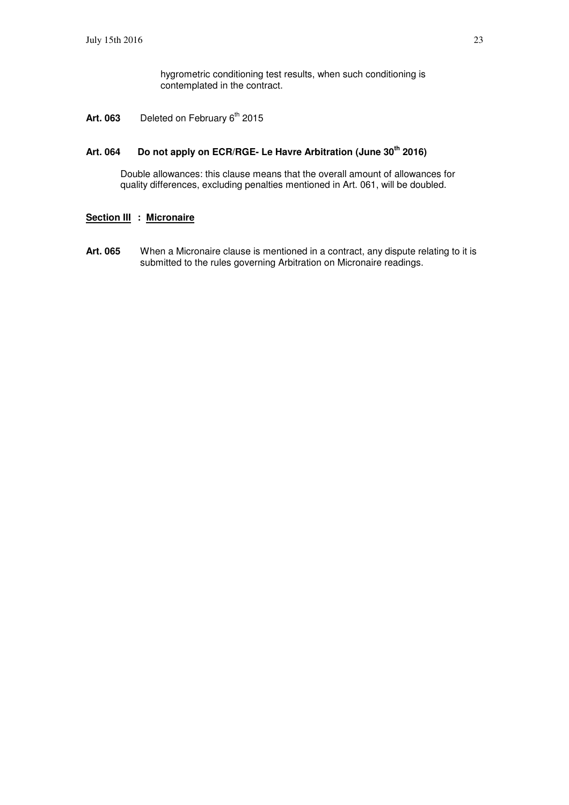hygrometric conditioning test results, when such conditioning is contemplated in the contract.

Art. 063 Deleted on February 6<sup>th</sup> 2015

#### **Art. 064 Do not apply on ECR/RGE- Le Havre Arbitration (June 30th 2016)**

Double allowances: this clause means that the overall amount of allowances for quality differences, excluding penalties mentioned in Art. 061, will be doubled.

#### **Section III : Micronaire**

Art. 065 When a Micronaire clause is mentioned in a contract, any dispute relating to it is submitted to the rules governing Arbitration on Micronaire readings.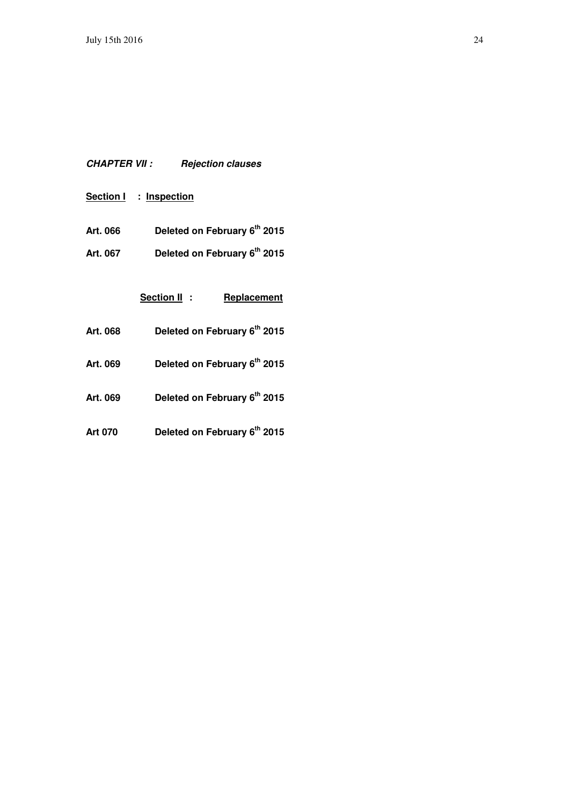# **CHAPTER VII : Rejection clauses**

**Section I : Inspection**

- **Art. 066 Deleted on February 6th 2015**
- **Art. 067 Deleted on February 6th 2015**

**Section II : Replacement** 

- **Art. 068 Deleted on February 6th 2015**
- **Art. 069 Deleted on February 6th 2015**
- **Art. 069 Deleted on February 6th 2015**
- **Art 070 Deleted on February 6th 2015**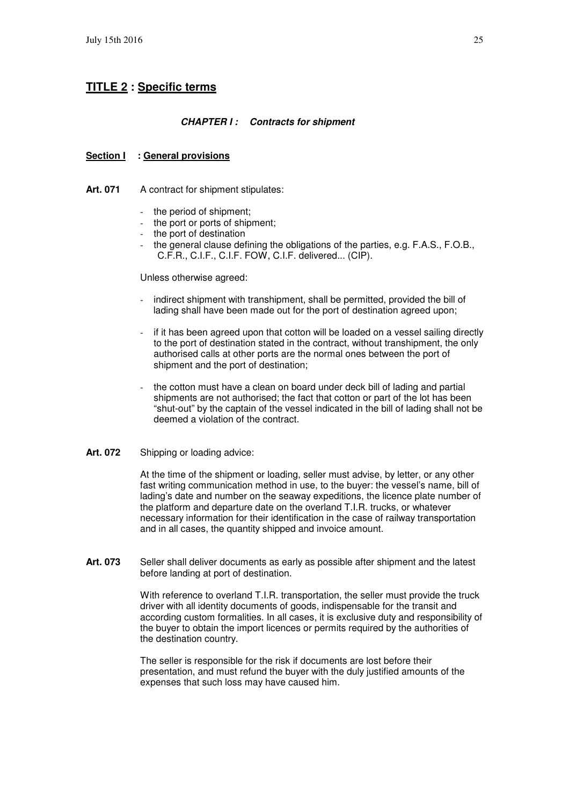# **TITLE 2 : Specific terms**

#### **CHAPTER I : Contracts for shipment**

#### **Section I : General provisions**

Art. 071 A contract for shipment stipulates:

- the period of shipment;
- the port or ports of shipment:
- the port of destination
- the general clause defining the obligations of the parties, e.g. F.A.S., F.O.B., C.F.R., C.I.F., C.I.F. FOW, C.I.F. delivered... (CIP).

#### Unless otherwise agreed:

- indirect shipment with transhipment, shall be permitted, provided the bill of lading shall have been made out for the port of destination agreed upon;
- if it has been agreed upon that cotton will be loaded on a vessel sailing directly to the port of destination stated in the contract, without transhipment, the only authorised calls at other ports are the normal ones between the port of shipment and the port of destination;
- the cotton must have a clean on board under deck bill of lading and partial shipments are not authorised; the fact that cotton or part of the lot has been "shut-out" by the captain of the vessel indicated in the bill of lading shall not be deemed a violation of the contract.

#### **Art. 072** Shipping or loading advice:

 At the time of the shipment or loading, seller must advise, by letter, or any other fast writing communication method in use, to the buyer: the vessel's name, bill of lading's date and number on the seaway expeditions, the licence plate number of the platform and departure date on the overland T.I.R. trucks, or whatever necessary information for their identification in the case of railway transportation and in all cases, the quantity shipped and invoice amount.

Art. 073 Seller shall deliver documents as early as possible after shipment and the latest before landing at port of destination.

> With reference to overland T.I.R. transportation, the seller must provide the truck driver with all identity documents of goods, indispensable for the transit and according custom formalities. In all cases, it is exclusive duty and responsibility of the buyer to obtain the import licences or permits required by the authorities of the destination country.

 The seller is responsible for the risk if documents are lost before their presentation, and must refund the buyer with the duly justified amounts of the expenses that such loss may have caused him.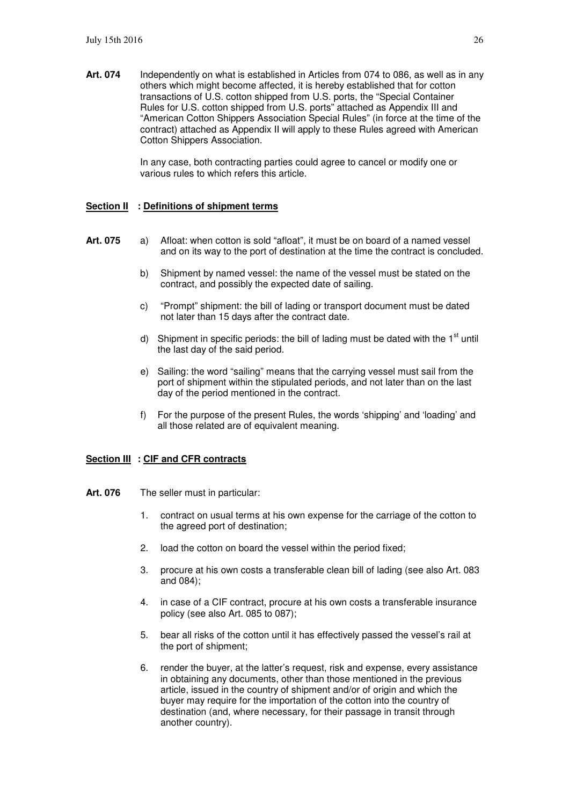**Art. 074** Independently on what is established in Articles from 074 to 086, as well as in any others which might become affected, it is hereby established that for cotton transactions of U.S. cotton shipped from U.S. ports, the "Special Container Rules for U.S. cotton shipped from U.S. ports" attached as Appendix III and "American Cotton Shippers Association Special Rules" (in force at the time of the contract) attached as Appendix II will apply to these Rules agreed with American Cotton Shippers Association.

> In any case, both contracting parties could agree to cancel or modify one or various rules to which refers this article.

#### **Section II : Definitions of shipment terms**

- **Art. 075** a) Afloat: when cotton is sold "afloat", it must be on board of a named vessel and on its way to the port of destination at the time the contract is concluded.
	- b) Shipment by named vessel: the name of the vessel must be stated on the contract, and possibly the expected date of sailing.
	- c) "Prompt" shipment: the bill of lading or transport document must be dated not later than 15 days after the contract date.
	- d) Shipment in specific periods: the bill of lading must be dated with the  $1<sup>st</sup>$  until the last day of the said period.
	- e) Sailing: the word "sailing" means that the carrying vessel must sail from the port of shipment within the stipulated periods, and not later than on the last day of the period mentioned in the contract.
	- f) For the purpose of the present Rules, the words 'shipping' and 'loading' and all those related are of equivalent meaning.

#### **Section III : CIF and CFR contracts**

- Art. 076 The seller must in particular:
	- 1. contract on usual terms at his own expense for the carriage of the cotton to the agreed port of destination;
	- 2. load the cotton on board the vessel within the period fixed;
	- 3. procure at his own costs a transferable clean bill of lading (see also Art. 083 and 084);
	- 4. in case of a CIF contract, procure at his own costs a transferable insurance policy (see also Art. 085 to 087);
	- 5. bear all risks of the cotton until it has effectively passed the vessel's rail at the port of shipment;
	- 6. render the buyer, at the latter's request, risk and expense, every assistance in obtaining any documents, other than those mentioned in the previous article, issued in the country of shipment and/or of origin and which the buyer may require for the importation of the cotton into the country of destination (and, where necessary, for their passage in transit through another country).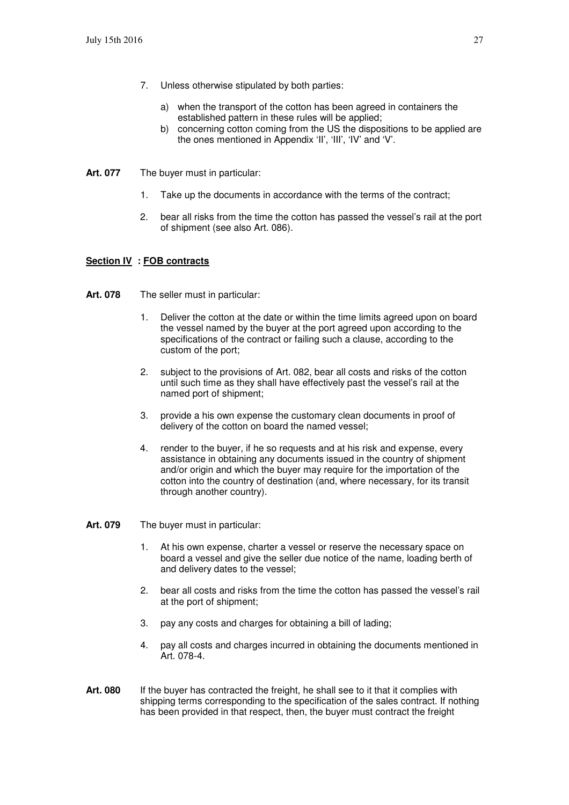- 7. Unless otherwise stipulated by both parties:
	- a) when the transport of the cotton has been agreed in containers the established pattern in these rules will be applied;
	- b) concerning cotton coming from the US the dispositions to be applied are the ones mentioned in Appendix 'II', 'III', 'IV' and 'V'.
- **Art. 077** The buyer must in particular:
	- 1. Take up the documents in accordance with the terms of the contract;
	- 2. bear all risks from the time the cotton has passed the vessel's rail at the port of shipment (see also Art. 086).

#### **Section IV : FOB contracts**

- **Art. 078** The seller must in particular:
	- 1. Deliver the cotton at the date or within the time limits agreed upon on board the vessel named by the buyer at the port agreed upon according to the specifications of the contract or failing such a clause, according to the custom of the port;
	- 2. subject to the provisions of Art. 082, bear all costs and risks of the cotton until such time as they shall have effectively past the vessel's rail at the named port of shipment;
	- 3. provide a his own expense the customary clean documents in proof of delivery of the cotton on board the named vessel;
	- 4. render to the buyer, if he so requests and at his risk and expense, every assistance in obtaining any documents issued in the country of shipment and/or origin and which the buyer may require for the importation of the cotton into the country of destination (and, where necessary, for its transit through another country).
- **Art. 079** The buyer must in particular:
	- 1. At his own expense, charter a vessel or reserve the necessary space on board a vessel and give the seller due notice of the name, loading berth of and delivery dates to the vessel;
	- 2. bear all costs and risks from the time the cotton has passed the vessel's rail at the port of shipment;
	- 3. pay any costs and charges for obtaining a bill of lading;
	- 4. pay all costs and charges incurred in obtaining the documents mentioned in Art. 078-4.
- Art. 080 If the buyer has contracted the freight, he shall see to it that it complies with shipping terms corresponding to the specification of the sales contract. If nothing has been provided in that respect, then, the buyer must contract the freight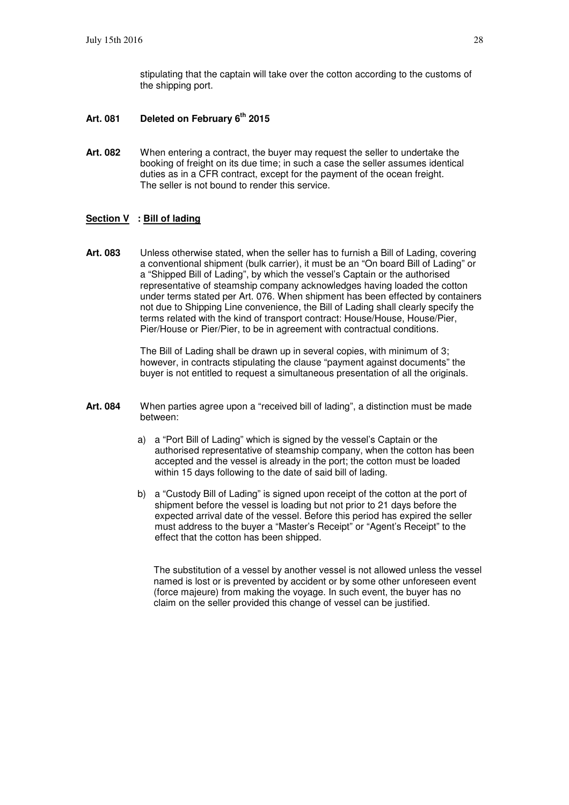stipulating that the captain will take over the cotton according to the customs of the shipping port.

- **Art. 081 Deleted on February 6th 2015**
- **Art. 082** When entering a contract, the buyer may request the seller to undertake the booking of freight on its due time; in such a case the seller assumes identical duties as in a CFR contract, except for the payment of the ocean freight. The seller is not bound to render this service.

#### **Section V : Bill of lading**

**Art. 083** Unless otherwise stated, when the seller has to furnish a Bill of Lading, covering a conventional shipment (bulk carrier), it must be an "On board Bill of Lading" or a "Shipped Bill of Lading", by which the vessel's Captain or the authorised representative of steamship company acknowledges having loaded the cotton under terms stated per Art. 076. When shipment has been effected by containers not due to Shipping Line convenience, the Bill of Lading shall clearly specify the terms related with the kind of transport contract: House/House, House/Pier, Pier/House or Pier/Pier, to be in agreement with contractual conditions.

> The Bill of Lading shall be drawn up in several copies, with minimum of 3; however, in contracts stipulating the clause "payment against documents" the buyer is not entitled to request a simultaneous presentation of all the originals.

- **Art. 084** When parties agree upon a "received bill of lading", a distinction must be made between:
	- a) a "Port Bill of Lading" which is signed by the vessel's Captain or the authorised representative of steamship company, when the cotton has been accepted and the vessel is already in the port; the cotton must be loaded within 15 days following to the date of said bill of lading.
	- b) a "Custody Bill of Lading" is signed upon receipt of the cotton at the port of shipment before the vessel is loading but not prior to 21 days before the expected arrival date of the vessel. Before this period has expired the seller must address to the buyer a "Master's Receipt" or "Agent's Receipt" to the effect that the cotton has been shipped.

The substitution of a vessel by another vessel is not allowed unless the vessel named is lost or is prevented by accident or by some other unforeseen event (force majeure) from making the voyage. In such event, the buyer has no claim on the seller provided this change of vessel can be justified.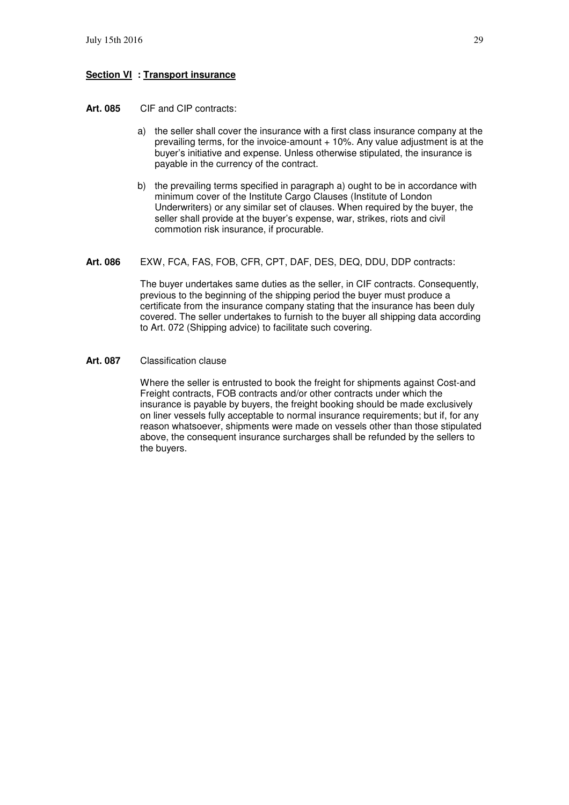#### **Section VI : Transport insurance**

- **Art. 085** CIF and CIP contracts:
	- a) the seller shall cover the insurance with a first class insurance company at the prevailing terms, for the invoice-amount  $+10\%$ . Any value adjustment is at the buyer's initiative and expense. Unless otherwise stipulated, the insurance is payable in the currency of the contract.
	- b) the prevailing terms specified in paragraph a) ought to be in accordance with minimum cover of the Institute Cargo Clauses (Institute of London Underwriters) or any similar set of clauses. When required by the buyer, the seller shall provide at the buyer's expense, war, strikes, riots and civil commotion risk insurance, if procurable.
- **Art. 086** EXW, FCA, FAS, FOB, CFR, CPT, DAF, DES, DEQ, DDU, DDP contracts:

The buyer undertakes same duties as the seller, in CIF contracts. Consequently, previous to the beginning of the shipping period the buyer must produce a certificate from the insurance company stating that the insurance has been duly covered. The seller undertakes to furnish to the buyer all shipping data according to Art. 072 (Shipping advice) to facilitate such covering.

**Art. 087** Classification clause

Where the seller is entrusted to book the freight for shipments against Cost-and Freight contracts, FOB contracts and/or other contracts under which the insurance is payable by buyers, the freight booking should be made exclusively on liner vessels fully acceptable to normal insurance requirements; but if, for any reason whatsoever, shipments were made on vessels other than those stipulated above, the consequent insurance surcharges shall be refunded by the sellers to the buyers.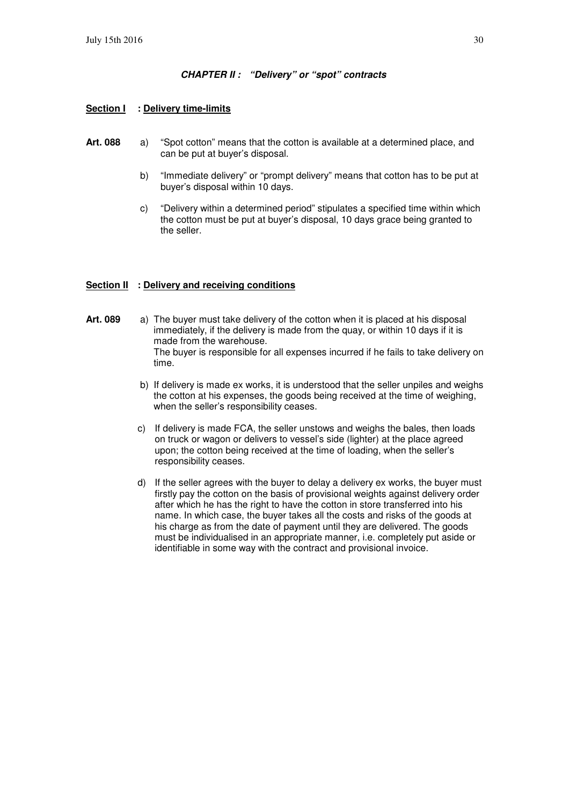#### **CHAPTER II : "Delivery" or "spot" contracts**

#### **Section I : Delivery time-limits**

- **Art. 088** a) "Spot cotton" means that the cotton is available at a determined place, and can be put at buyer's disposal.
	- b) "Immediate delivery" or "prompt delivery" means that cotton has to be put at buyer's disposal within 10 days.
	- c) "Delivery within a determined period" stipulates a specified time within which the cotton must be put at buyer's disposal, 10 days grace being granted to the seller.

#### **Section II : Delivery and receiving conditions**

- **Art. 089** a) The buyer must take delivery of the cotton when it is placed at his disposal immediately, if the delivery is made from the quay, or within 10 days if it is made from the warehouse. The buyer is responsible for all expenses incurred if he fails to take delivery on time.
	- b) If delivery is made ex works, it is understood that the seller unpiles and weighs the cotton at his expenses, the goods being received at the time of weighing, when the seller's responsibility ceases.
	- c) If delivery is made FCA, the seller unstows and weighs the bales, then loads on truck or wagon or delivers to vessel's side (lighter) at the place agreed upon; the cotton being received at the time of loading, when the seller's responsibility ceases.
	- d) If the seller agrees with the buyer to delay a delivery ex works, the buyer must firstly pay the cotton on the basis of provisional weights against delivery order after which he has the right to have the cotton in store transferred into his name. In which case, the buyer takes all the costs and risks of the goods at his charge as from the date of payment until they are delivered. The goods must be individualised in an appropriate manner, i.e. completely put aside or identifiable in some way with the contract and provisional invoice.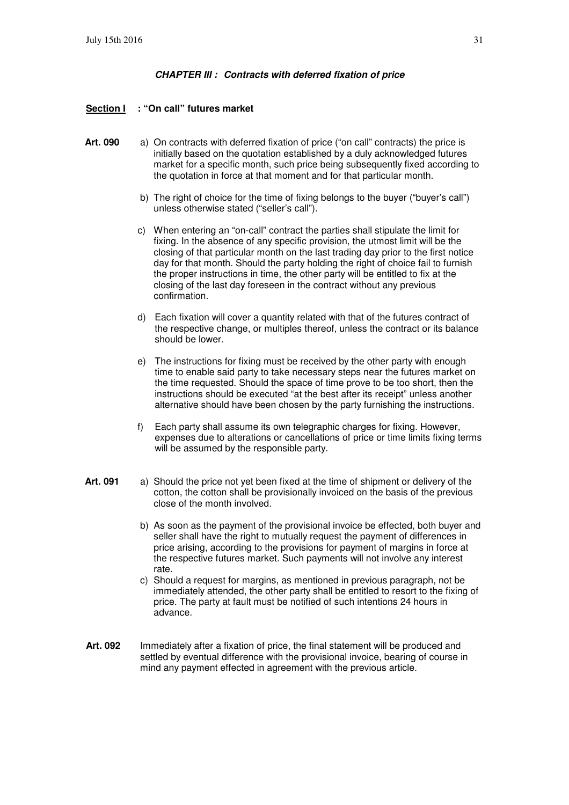#### **CHAPTER III : Contracts with deferred fixation of price**

#### **Section I : "On call" futures market**

- Art. 090 a) On contracts with deferred fixation of price ("on call" contracts) the price is initially based on the quotation established by a duly acknowledged futures market for a specific month, such price being subsequently fixed according to the quotation in force at that moment and for that particular month.
	- b) The right of choice for the time of fixing belongs to the buyer ("buyer's call") unless otherwise stated ("seller's call").
	- c) When entering an "on-call" contract the parties shall stipulate the limit for fixing. In the absence of any specific provision, the utmost limit will be the closing of that particular month on the last trading day prior to the first notice day for that month. Should the party holding the right of choice fail to furnish the proper instructions in time, the other party will be entitled to fix at the closing of the last day foreseen in the contract without any previous confirmation.
	- d) Each fixation will cover a quantity related with that of the futures contract of the respective change, or multiples thereof, unless the contract or its balance should be lower.
	- e) The instructions for fixing must be received by the other party with enough time to enable said party to take necessary steps near the futures market on the time requested. Should the space of time prove to be too short, then the instructions should be executed "at the best after its receipt" unless another alternative should have been chosen by the party furnishing the instructions.
	- f) Each party shall assume its own telegraphic charges for fixing. However, expenses due to alterations or cancellations of price or time limits fixing terms will be assumed by the responsible party.
- **Art. 091** a) Should the price not yet been fixed at the time of shipment or delivery of the cotton, the cotton shall be provisionally invoiced on the basis of the previous close of the month involved.
	- b) As soon as the payment of the provisional invoice be effected, both buyer and seller shall have the right to mutually request the payment of differences in price arising, according to the provisions for payment of margins in force at the respective futures market. Such payments will not involve any interest rate.
	- c) Should a request for margins, as mentioned in previous paragraph, not be immediately attended, the other party shall be entitled to resort to the fixing of price. The party at fault must be notified of such intentions 24 hours in advance.
- **Art. 092** Immediately after a fixation of price, the final statement will be produced and settled by eventual difference with the provisional invoice, bearing of course in mind any payment effected in agreement with the previous article.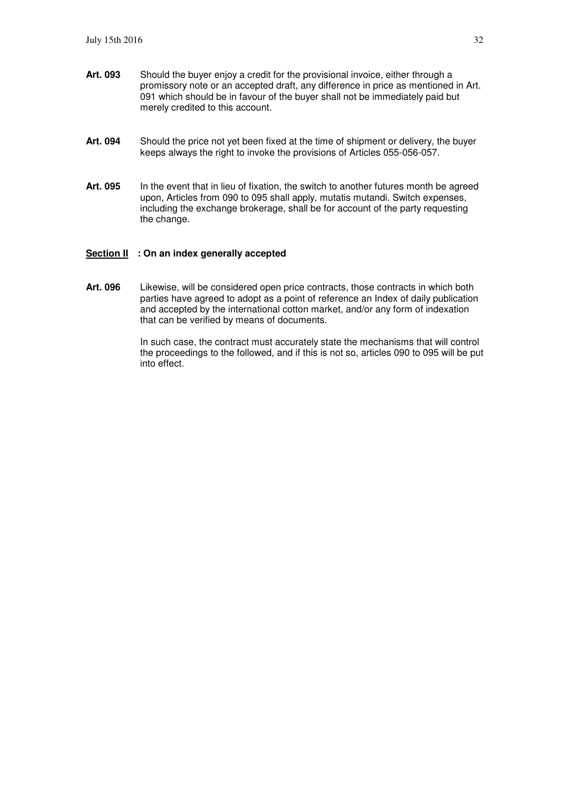- **Art. 093** Should the buyer enjoy a credit for the provisional invoice, either through a promissory note or an accepted draft, any difference in price as mentioned in Art. 091 which should be in favour of the buyer shall not be immediately paid but merely credited to this account.
- Art. 094 Should the price not yet been fixed at the time of shipment or delivery, the buyer keeps always the right to invoke the provisions of Articles 055-056-057.
- Art. 095 In the event that in lieu of fixation, the switch to another futures month be agreed upon, Articles from 090 to 095 shall apply, mutatis mutandi. Switch expenses, including the exchange brokerage, shall be for account of the party requesting the change.

#### **Section II : On an index generally accepted**

**Art. 096** Likewise, will be considered open price contracts, those contracts in which both parties have agreed to adopt as a point of reference an Index of daily publication and accepted by the international cotton market, and/or any form of indexation that can be verified by means of documents.

> In such case, the contract must accurately state the mechanisms that will control the proceedings to the followed, and if this is not so, articles 090 to 095 will be put into effect.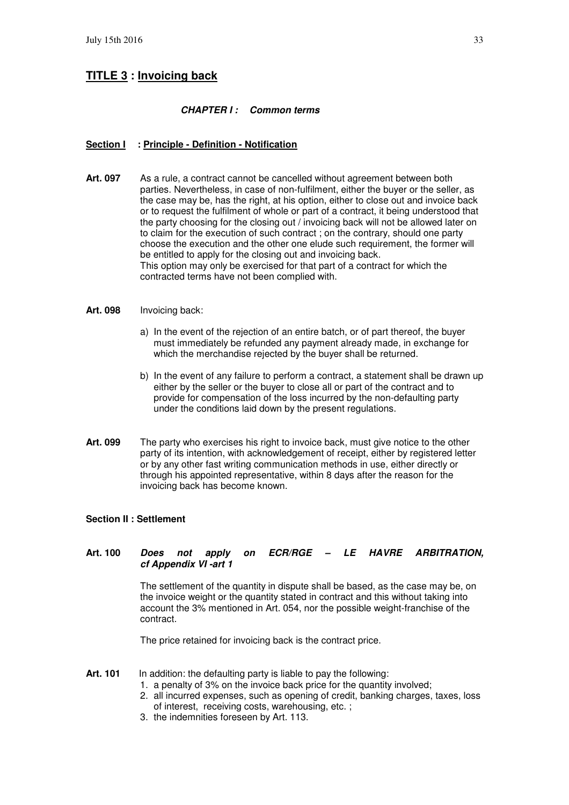# **TITLE 3 : Invoicing back**

#### **CHAPTER I : Common terms**

#### **Section I : Principle - Definition - Notification**

**Art. 097** As a rule, a contract cannot be cancelled without agreement between both parties. Nevertheless, in case of non-fulfilment, either the buyer or the seller, as the case may be, has the right, at his option, either to close out and invoice back or to request the fulfilment of whole or part of a contract, it being understood that the party choosing for the closing out / invoicing back will not be allowed later on to claim for the execution of such contract ; on the contrary, should one party choose the execution and the other one elude such requirement, the former will be entitled to apply for the closing out and invoicing back. This option may only be exercised for that part of a contract for which the contracted terms have not been complied with.

#### **Art. 098** Invoicing back:

- a) In the event of the rejection of an entire batch, or of part thereof, the buyer must immediately be refunded any payment already made, in exchange for which the merchandise rejected by the buyer shall be returned.
- b) In the event of any failure to perform a contract, a statement shall be drawn up either by the seller or the buyer to close all or part of the contract and to provide for compensation of the loss incurred by the non-defaulting party under the conditions laid down by the present regulations.
- **Art. 099** The party who exercises his right to invoice back, must give notice to the other party of its intention, with acknowledgement of receipt, either by registered letter or by any other fast writing communication methods in use, either directly or through his appointed representative, within 8 days after the reason for the invoicing back has become known.

#### **Section II : Settlement**

#### **Art. 100 Does not apply on ECR/RGE – LE HAVRE ARBITRATION, cf Appendix VI -art 1**

The settlement of the quantity in dispute shall be based, as the case may be, on the invoice weight or the quantity stated in contract and this without taking into account the 3% mentioned in Art. 054, nor the possible weight-franchise of the contract.

The price retained for invoicing back is the contract price.

- Art. 101 In addition: the defaulting party is liable to pay the following:
	- 1. a penalty of 3% on the invoice back price for the quantity involved;
	- 2. all incurred expenses, such as opening of credit, banking charges, taxes, loss of interest, receiving costs, warehousing, etc. ;
	- 3. the indemnities foreseen by Art. 113.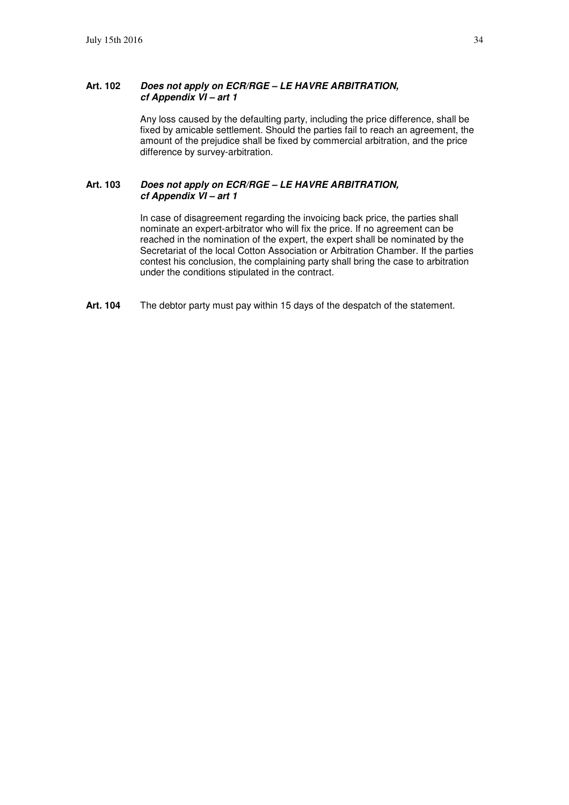#### **Art. 102 Does not apply on ECR/RGE – LE HAVRE ARBITRATION, cf Appendix VI – art 1**

Any loss caused by the defaulting party, including the price difference, shall be fixed by amicable settlement. Should the parties fail to reach an agreement, the amount of the prejudice shall be fixed by commercial arbitration, and the price difference by survey-arbitration.

#### **Art. 103 Does not apply on ECR/RGE – LE HAVRE ARBITRATION, cf Appendix VI – art 1**

In case of disagreement regarding the invoicing back price, the parties shall nominate an expert-arbitrator who will fix the price. If no agreement can be reached in the nomination of the expert, the expert shall be nominated by the Secretariat of the local Cotton Association or Arbitration Chamber. If the parties contest his conclusion, the complaining party shall bring the case to arbitration under the conditions stipulated in the contract.

**Art. 104** The debtor party must pay within 15 days of the despatch of the statement.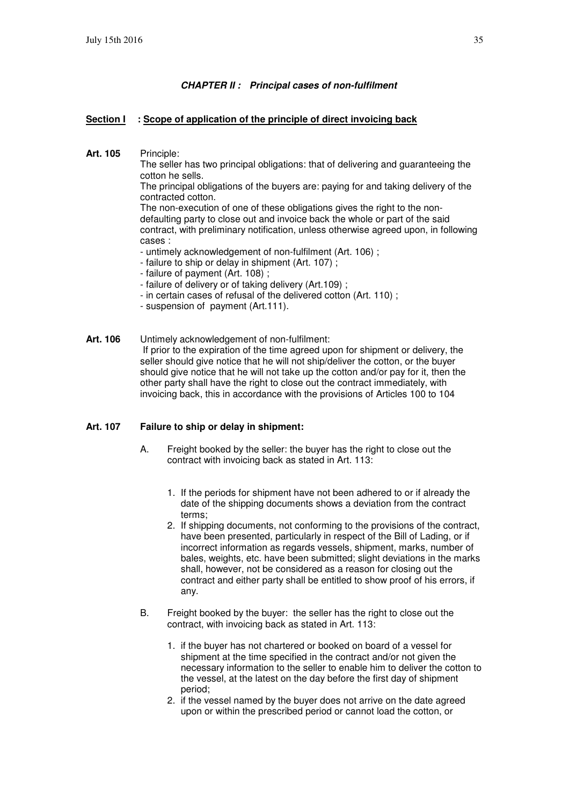#### **CHAPTER II : Principal cases of non-fulfilment**

#### **Section I** : Scope of application of the principle of direct invoicing back

**Art. 105** Principle:

The seller has two principal obligations: that of delivering and guaranteeing the cotton he sells.

The principal obligations of the buyers are: paying for and taking delivery of the contracted cotton.

The non-execution of one of these obligations gives the right to the nondefaulting party to close out and invoice back the whole or part of the said contract, with preliminary notification, unless otherwise agreed upon, in following cases :

- untimely acknowledgement of non-fulfilment (Art. 106) ;
- failure to ship or delay in shipment (Art. 107) ;
- failure of payment (Art. 108) ;
- failure of delivery or of taking delivery (Art.109) ;
- in certain cases of refusal of the delivered cotton (Art. 110) ;
- suspension of payment (Art.111).
- **Art. 106** Untimely acknowledgement of non-fulfilment: If prior to the expiration of the time agreed upon for shipment or delivery, the seller should give notice that he will not ship/deliver the cotton, or the buyer should give notice that he will not take up the cotton and/or pay for it, then the other party shall have the right to close out the contract immediately, with invoicing back, this in accordance with the provisions of Articles 100 to 104

#### **Art. 107 Failure to ship or delay in shipment:**

- A. Freight booked by the seller: the buyer has the right to close out the contract with invoicing back as stated in Art. 113:
	- 1. If the periods for shipment have not been adhered to or if already the date of the shipping documents shows a deviation from the contract terms;
	- 2. If shipping documents, not conforming to the provisions of the contract, have been presented, particularly in respect of the Bill of Lading, or if incorrect information as regards vessels, shipment, marks, number of bales, weights, etc. have been submitted; slight deviations in the marks shall, however, not be considered as a reason for closing out the contract and either party shall be entitled to show proof of his errors, if any.
- B. Freight booked by the buyer: the seller has the right to close out the contract, with invoicing back as stated in Art. 113:
	- 1. if the buyer has not chartered or booked on board of a vessel for shipment at the time specified in the contract and/or not given the necessary information to the seller to enable him to deliver the cotton to the vessel, at the latest on the day before the first day of shipment period;
	- 2. if the vessel named by the buyer does not arrive on the date agreed upon or within the prescribed period or cannot load the cotton, or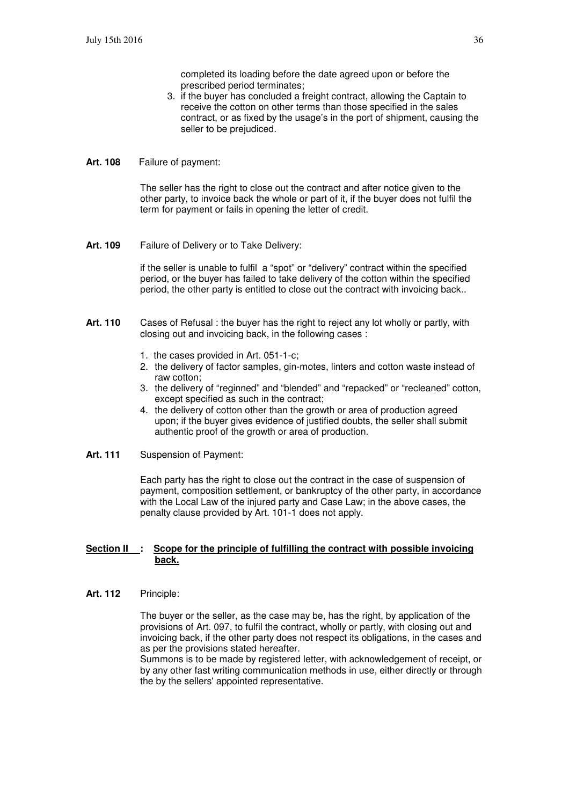completed its loading before the date agreed upon or before the prescribed period terminates;

- 3. if the buyer has concluded a freight contract, allowing the Captain to receive the cotton on other terms than those specified in the sales contract, or as fixed by the usage's in the port of shipment, causing the seller to be prejudiced.
- **Art. 108** Failure of payment:

The seller has the right to close out the contract and after notice given to the other party, to invoice back the whole or part of it, if the buyer does not fulfil the term for payment or fails in opening the letter of credit.

**Art. 109** Failure of Delivery or to Take Delivery:

if the seller is unable to fulfil a "spot" or "delivery" contract within the specified period, or the buyer has failed to take delivery of the cotton within the specified period, the other party is entitled to close out the contract with invoicing back..

- **Art. 110** Cases of Refusal : the buyer has the right to reject any lot wholly or partly, with closing out and invoicing back, in the following cases :
	- 1. the cases provided in Art. 051-1-c;
	- 2. the delivery of factor samples, gin-motes, linters and cotton waste instead of raw cotton;
	- 3. the delivery of "reginned" and "blended" and "repacked" or "recleaned" cotton, except specified as such in the contract;
	- 4. the delivery of cotton other than the growth or area of production agreed upon; if the buyer gives evidence of justified doubts, the seller shall submit authentic proof of the growth or area of production.
- **Art. 111** Suspension of Payment:

Each party has the right to close out the contract in the case of suspension of payment, composition settlement, or bankruptcy of the other party, in accordance with the Local Law of the injured party and Case Law; in the above cases, the penalty clause provided by Art. 101-1 does not apply.

#### **<u>Section II : Scope for the principle of fulfilling the contract with possible invoicing</u> back.**

**Art. 112** Principle:

The buyer or the seller, as the case may be, has the right, by application of the provisions of Art. 097, to fulfil the contract, wholly or partly, with closing out and invoicing back, if the other party does not respect its obligations, in the cases and as per the provisions stated hereafter.

Summons is to be made by registered letter, with acknowledgement of receipt, or by any other fast writing communication methods in use, either directly or through the by the sellers' appointed representative.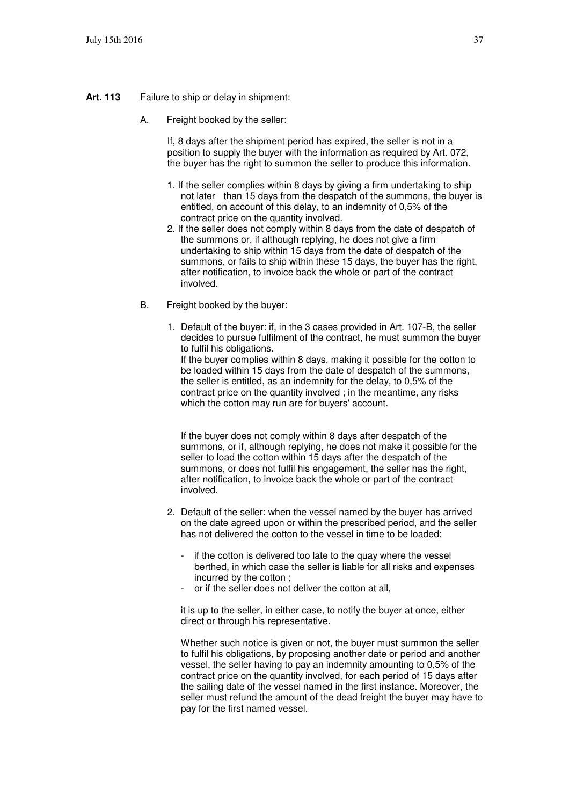- **Art. 113** Failure to ship or delay in shipment:
	- A. Freight booked by the seller:

If, 8 days after the shipment period has expired, the seller is not in a position to supply the buyer with the information as required by Art. 072, the buyer has the right to summon the seller to produce this information.

- 1. If the seller complies within 8 days by giving a firm undertaking to ship not later than 15 days from the despatch of the summons, the buyer is entitled, on account of this delay, to an indemnity of 0,5% of the contract price on the quantity involved.
- 2. If the seller does not comply within 8 days from the date of despatch of the summons or, if although replying, he does not give a firm undertaking to ship within 15 days from the date of despatch of the summons, or fails to ship within these 15 days, the buyer has the right, after notification, to invoice back the whole or part of the contract involved.
- B. Freight booked by the buyer:
	- 1. Default of the buyer: if, in the 3 cases provided in Art. 107-B, the seller decides to pursue fulfilment of the contract, he must summon the buyer to fulfil his obligations. If the buyer complies within 8 days, making it possible for the cotton to be loaded within 15 days from the date of despatch of the summons, the seller is entitled, as an indemnity for the delay, to 0,5% of the contract price on the quantity involved ; in the meantime, any risks which the cotton may run are for buyers' account.

If the buyer does not comply within 8 days after despatch of the summons, or if, although replying, he does not make it possible for the seller to load the cotton within 15 days after the despatch of the summons, or does not fulfil his engagement, the seller has the right, after notification, to invoice back the whole or part of the contract involved.

- 2. Default of the seller: when the vessel named by the buyer has arrived on the date agreed upon or within the prescribed period, and the seller has not delivered the cotton to the vessel in time to be loaded:
	- if the cotton is delivered too late to the quay where the vessel berthed, in which case the seller is liable for all risks and expenses incurred by the cotton ;
	- or if the seller does not deliver the cotton at all,

it is up to the seller, in either case, to notify the buyer at once, either direct or through his representative.

Whether such notice is given or not, the buyer must summon the seller to fulfil his obligations, by proposing another date or period and another vessel, the seller having to pay an indemnity amounting to 0,5% of the contract price on the quantity involved, for each period of 15 days after the sailing date of the vessel named in the first instance. Moreover, the seller must refund the amount of the dead freight the buyer may have to pay for the first named vessel.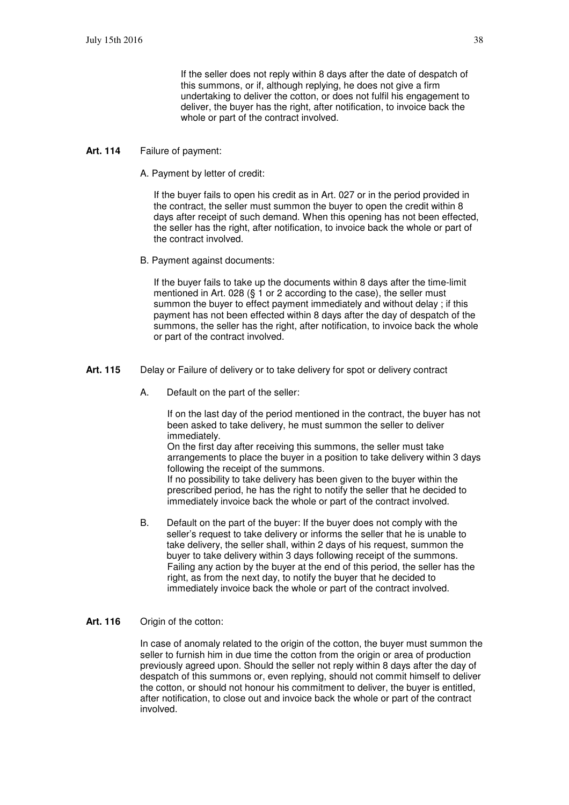If the seller does not reply within 8 days after the date of despatch of this summons, or if, although replying, he does not give a firm undertaking to deliver the cotton, or does not fulfil his engagement to deliver, the buyer has the right, after notification, to invoice back the whole or part of the contract involved.

#### **Art. 114** Failure of payment:

A. Payment by letter of credit:

If the buyer fails to open his credit as in Art. 027 or in the period provided in the contract, the seller must summon the buyer to open the credit within 8 days after receipt of such demand. When this opening has not been effected, the seller has the right, after notification, to invoice back the whole or part of the contract involved.

B. Payment against documents:

If the buyer fails to take up the documents within 8 days after the time-limit mentioned in Art. 028 (§ 1 or 2 according to the case), the seller must summon the buyer to effect payment immediately and without delay ; if this payment has not been effected within 8 days after the day of despatch of the summons, the seller has the right, after notification, to invoice back the whole or part of the contract involved.

- **Art. 115** Delay or Failure of delivery or to take delivery for spot or delivery contract
	- A. Default on the part of the seller:

If on the last day of the period mentioned in the contract, the buyer has not been asked to take delivery, he must summon the seller to deliver immediately.

On the first day after receiving this summons, the seller must take arrangements to place the buyer in a position to take delivery within 3 days following the receipt of the summons.

If no possibility to take delivery has been given to the buyer within the prescribed period, he has the right to notify the seller that he decided to immediately invoice back the whole or part of the contract involved.

- B. Default on the part of the buyer: If the buyer does not comply with the seller's request to take delivery or informs the seller that he is unable to take delivery, the seller shall, within 2 days of his request, summon the buyer to take delivery within 3 days following receipt of the summons. Failing any action by the buyer at the end of this period, the seller has the right, as from the next day, to notify the buyer that he decided to immediately invoice back the whole or part of the contract involved.
- **Art. 116** Origin of the cotton:

In case of anomaly related to the origin of the cotton, the buyer must summon the seller to furnish him in due time the cotton from the origin or area of production previously agreed upon. Should the seller not reply within 8 days after the day of despatch of this summons or, even replying, should not commit himself to deliver the cotton, or should not honour his commitment to deliver, the buyer is entitled, after notification, to close out and invoice back the whole or part of the contract involved.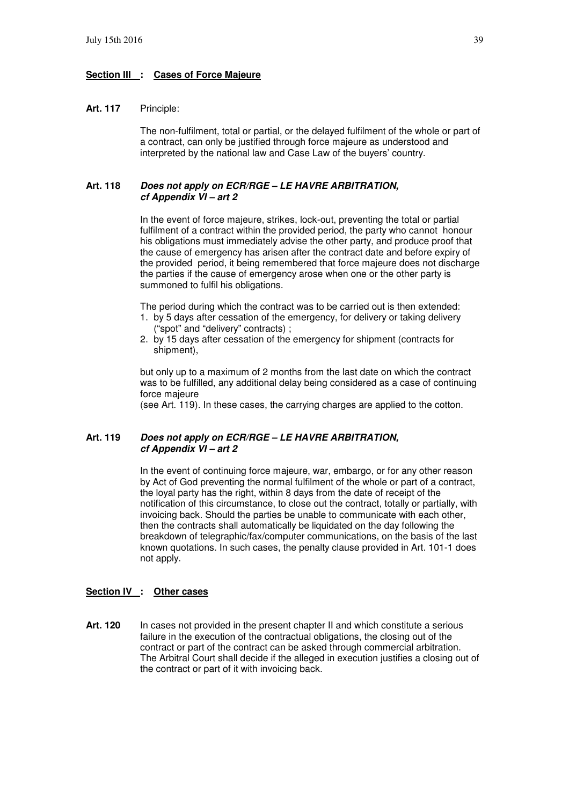#### **Section III : Cases of Force Majeure**

#### **Art. 117** Principle:

The non-fulfilment, total or partial, or the delayed fulfilment of the whole or part of a contract, can only be justified through force majeure as understood and interpreted by the national law and Case Law of the buyers' country.

#### **Art. 118 Does not apply on ECR/RGE – LE HAVRE ARBITRATION, cf Appendix VI – art 2**

In the event of force majeure, strikes, lock-out, preventing the total or partial fulfilment of a contract within the provided period, the party who cannot honour his obligations must immediately advise the other party, and produce proof that the cause of emergency has arisen after the contract date and before expiry of the provided period, it being remembered that force majeure does not discharge the parties if the cause of emergency arose when one or the other party is summoned to fulfil his obligations.

The period during which the contract was to be carried out is then extended:

- 1. by 5 days after cessation of the emergency, for delivery or taking delivery ("spot" and "delivery" contracts) ;
- 2. by 15 days after cessation of the emergency for shipment (contracts for shipment),

but only up to a maximum of 2 months from the last date on which the contract was to be fulfilled, any additional delay being considered as a case of continuing force majeure

(see Art. 119). In these cases, the carrying charges are applied to the cotton.

#### **Art. 119 Does not apply on ECR/RGE – LE HAVRE ARBITRATION, cf Appendix VI – art 2**

In the event of continuing force majeure, war, embargo, or for any other reason by Act of God preventing the normal fulfilment of the whole or part of a contract, the loyal party has the right, within 8 days from the date of receipt of the notification of this circumstance, to close out the contract, totally or partially, with invoicing back. Should the parties be unable to communicate with each other, then the contracts shall automatically be liquidated on the day following the breakdown of telegraphic/fax/computer communications, on the basis of the last known quotations. In such cases, the penalty clause provided in Art. 101-1 does not apply.

#### **Section IV : Other cases**

Art. 120 In cases not provided in the present chapter II and which constitute a serious failure in the execution of the contractual obligations, the closing out of the contract or part of the contract can be asked through commercial arbitration. The Arbitral Court shall decide if the alleged in execution justifies a closing out of the contract or part of it with invoicing back.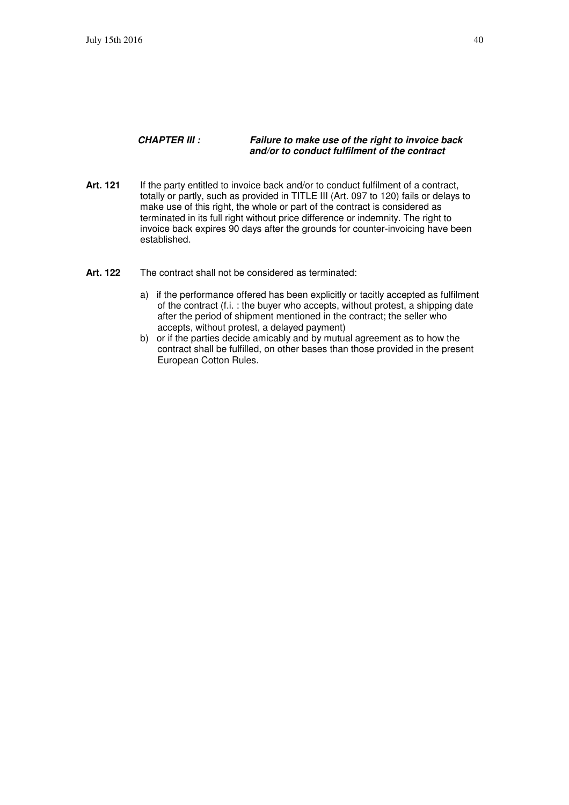#### **CHAPTER III : Failure to make use of the right to invoice back and/or to conduct fulfilment of the contract**

- **Art. 121** If the party entitled to invoice back and/or to conduct fulfilment of a contract, totally or partly, such as provided in TITLE III (Art. 097 to 120) fails or delays to make use of this right, the whole or part of the contract is considered as terminated in its full right without price difference or indemnity. The right to invoice back expires 90 days after the grounds for counter-invoicing have been established.
- Art. 122 The contract shall not be considered as terminated:
	- a) if the performance offered has been explicitly or tacitly accepted as fulfilment of the contract (f.i. : the buyer who accepts, without protest, a shipping date after the period of shipment mentioned in the contract; the seller who accepts, without protest, a delayed payment)
	- b) or if the parties decide amicably and by mutual agreement as to how the contract shall be fulfilled, on other bases than those provided in the present European Cotton Rules.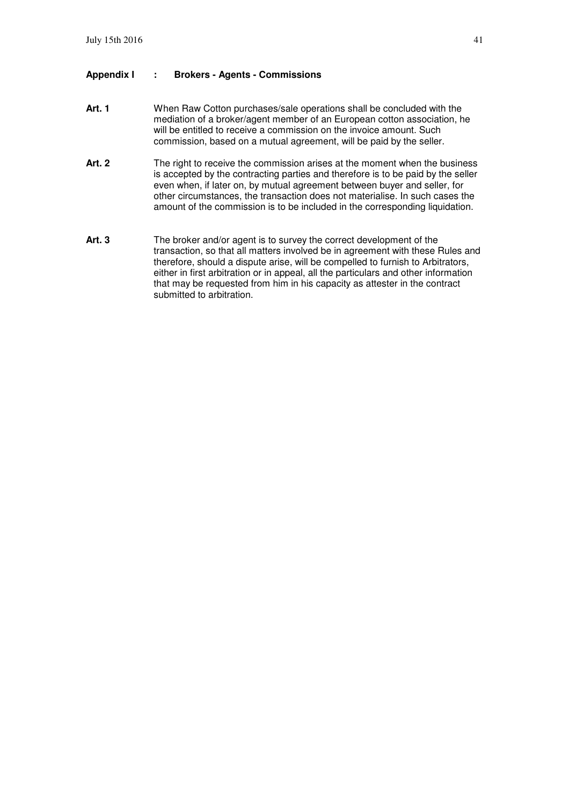#### **Appendix I : Brokers - Agents - Commissions**

- **Art. 1** When Raw Cotton purchases/sale operations shall be concluded with the mediation of a broker/agent member of an European cotton association, he will be entitled to receive a commission on the invoice amount. Such commission, based on a mutual agreement, will be paid by the seller.
- Art. 2 The right to receive the commission arises at the moment when the business is accepted by the contracting parties and therefore is to be paid by the seller even when, if later on, by mutual agreement between buyer and seller, for other circumstances, the transaction does not materialise. In such cases the amount of the commission is to be included in the corresponding liquidation.
- **Art. 3** The broker and/or agent is to survey the correct development of the transaction, so that all matters involved be in agreement with these Rules and therefore, should a dispute arise, will be compelled to furnish to Arbitrators, either in first arbitration or in appeal, all the particulars and other information that may be requested from him in his capacity as attester in the contract submitted to arbitration.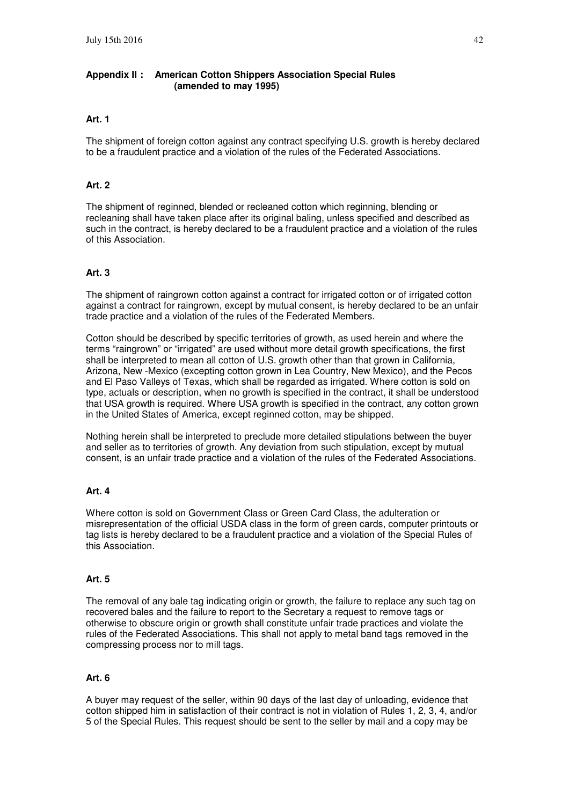#### **Appendix II : American Cotton Shippers Association Special Rules (amended to may 1995)**

#### **Art. 1**

The shipment of foreign cotton against any contract specifying U.S. growth is hereby declared to be a fraudulent practice and a violation of the rules of the Federated Associations.

#### **Art. 2**

The shipment of reginned, blended or recleaned cotton which reginning, blending or recleaning shall have taken place after its original baling, unless specified and described as such in the contract, is hereby declared to be a fraudulent practice and a violation of the rules of this Association.

#### **Art. 3**

The shipment of raingrown cotton against a contract for irrigated cotton or of irrigated cotton against a contract for raingrown, except by mutual consent, is hereby declared to be an unfair trade practice and a violation of the rules of the Federated Members.

Cotton should be described by specific territories of growth, as used herein and where the terms "raingrown" or "irrigated" are used without more detail growth specifications, the first shall be interpreted to mean all cotton of U.S. growth other than that grown in California, Arizona, New -Mexico (excepting cotton grown in Lea Country, New Mexico), and the Pecos and El Paso Valleys of Texas, which shall be regarded as irrigated. Where cotton is sold on type, actuals or description, when no growth is specified in the contract, it shall be understood that USA growth is required. Where USA growth is specified in the contract, any cotton grown in the United States of America, except reginned cotton, may be shipped.

Nothing herein shall be interpreted to preclude more detailed stipulations between the buyer and seller as to territories of growth. Any deviation from such stipulation, except by mutual consent, is an unfair trade practice and a violation of the rules of the Federated Associations.

#### **Art. 4**

Where cotton is sold on Government Class or Green Card Class, the adulteration or misrepresentation of the official USDA class in the form of green cards, computer printouts or tag lists is hereby declared to be a fraudulent practice and a violation of the Special Rules of this Association.

#### **Art. 5**

The removal of any bale tag indicating origin or growth, the failure to replace any such tag on recovered bales and the failure to report to the Secretary a request to remove tags or otherwise to obscure origin or growth shall constitute unfair trade practices and violate the rules of the Federated Associations. This shall not apply to metal band tags removed in the compressing process nor to mill tags.

#### **Art. 6**

A buyer may request of the seller, within 90 days of the last day of unloading, evidence that cotton shipped him in satisfaction of their contract is not in violation of Rules 1, 2, 3, 4, and/or 5 of the Special Rules. This request should be sent to the seller by mail and a copy may be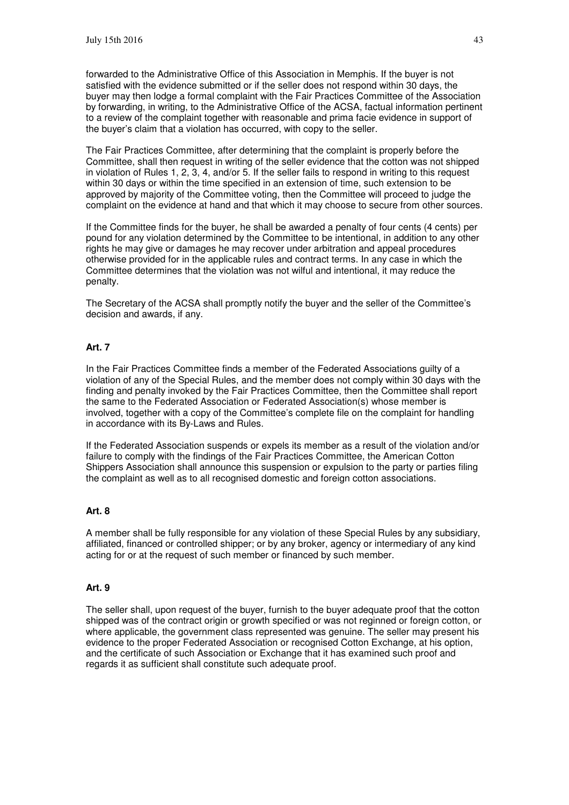forwarded to the Administrative Office of this Association in Memphis. If the buyer is not satisfied with the evidence submitted or if the seller does not respond within 30 days, the buyer may then lodge a formal complaint with the Fair Practices Committee of the Association by forwarding, in writing, to the Administrative Office of the ACSA, factual information pertinent to a review of the complaint together with reasonable and prima facie evidence in support of the buyer's claim that a violation has occurred, with copy to the seller.

The Fair Practices Committee, after determining that the complaint is properly before the Committee, shall then request in writing of the seller evidence that the cotton was not shipped in violation of Rules 1, 2, 3, 4, and/or 5. If the seller fails to respond in writing to this request within 30 days or within the time specified in an extension of time, such extension to be approved by majority of the Committee voting, then the Committee will proceed to judge the complaint on the evidence at hand and that which it may choose to secure from other sources.

If the Committee finds for the buyer, he shall be awarded a penalty of four cents (4 cents) per pound for any violation determined by the Committee to be intentional, in addition to any other rights he may give or damages he may recover under arbitration and appeal procedures otherwise provided for in the applicable rules and contract terms. In any case in which the Committee determines that the violation was not wilful and intentional, it may reduce the penalty.

The Secretary of the ACSA shall promptly notify the buyer and the seller of the Committee's decision and awards, if any.

#### **Art. 7**

In the Fair Practices Committee finds a member of the Federated Associations guilty of a violation of any of the Special Rules, and the member does not comply within 30 days with the finding and penalty invoked by the Fair Practices Committee, then the Committee shall report the same to the Federated Association or Federated Association(s) whose member is involved, together with a copy of the Committee's complete file on the complaint for handling in accordance with its By-Laws and Rules.

If the Federated Association suspends or expels its member as a result of the violation and/or failure to comply with the findings of the Fair Practices Committee, the American Cotton Shippers Association shall announce this suspension or expulsion to the party or parties filing the complaint as well as to all recognised domestic and foreign cotton associations.

#### **Art. 8**

A member shall be fully responsible for any violation of these Special Rules by any subsidiary, affiliated, financed or controlled shipper; or by any broker, agency or intermediary of any kind acting for or at the request of such member or financed by such member.

#### **Art. 9**

The seller shall, upon request of the buyer, furnish to the buyer adequate proof that the cotton shipped was of the contract origin or growth specified or was not reginned or foreign cotton, or where applicable, the government class represented was genuine. The seller may present his evidence to the proper Federated Association or recognised Cotton Exchange, at his option, and the certificate of such Association or Exchange that it has examined such proof and regards it as sufficient shall constitute such adequate proof.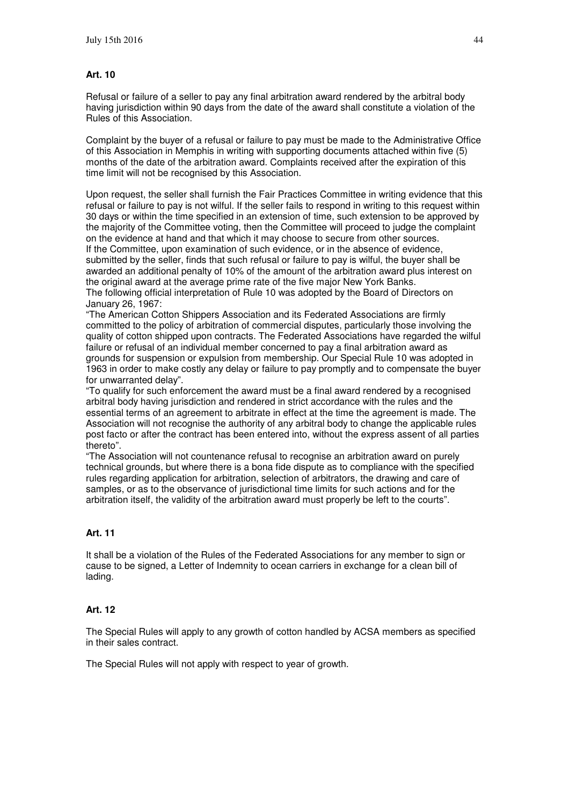#### **Art. 10**

Refusal or failure of a seller to pay any final arbitration award rendered by the arbitral body having jurisdiction within 90 days from the date of the award shall constitute a violation of the Rules of this Association.

Complaint by the buyer of a refusal or failure to pay must be made to the Administrative Office of this Association in Memphis in writing with supporting documents attached within five (5) months of the date of the arbitration award. Complaints received after the expiration of this time limit will not be recognised by this Association.

Upon request, the seller shall furnish the Fair Practices Committee in writing evidence that this refusal or failure to pay is not wilful. If the seller fails to respond in writing to this request within 30 days or within the time specified in an extension of time, such extension to be approved by the majority of the Committee voting, then the Committee will proceed to judge the complaint on the evidence at hand and that which it may choose to secure from other sources. If the Committee, upon examination of such evidence, or in the absence of evidence, submitted by the seller, finds that such refusal or failure to pay is wilful, the buyer shall be awarded an additional penalty of 10% of the amount of the arbitration award plus interest on the original award at the average prime rate of the five major New York Banks. The following official interpretation of Rule 10 was adopted by the Board of Directors on January 26, 1967:

"The American Cotton Shippers Association and its Federated Associations are firmly committed to the policy of arbitration of commercial disputes, particularly those involving the quality of cotton shipped upon contracts. The Federated Associations have regarded the wilful failure or refusal of an individual member concerned to pay a final arbitration award as grounds for suspension or expulsion from membership. Our Special Rule 10 was adopted in 1963 in order to make costly any delay or failure to pay promptly and to compensate the buyer for unwarranted delay".

"To qualify for such enforcement the award must be a final award rendered by a recognised arbitral body having jurisdiction and rendered in strict accordance with the rules and the essential terms of an agreement to arbitrate in effect at the time the agreement is made. The Association will not recognise the authority of any arbitral body to change the applicable rules post facto or after the contract has been entered into, without the express assent of all parties thereto".

"The Association will not countenance refusal to recognise an arbitration award on purely technical grounds, but where there is a bona fide dispute as to compliance with the specified rules regarding application for arbitration, selection of arbitrators, the drawing and care of samples, or as to the observance of jurisdictional time limits for such actions and for the arbitration itself, the validity of the arbitration award must properly be left to the courts".

#### **Art. 11**

It shall be a violation of the Rules of the Federated Associations for any member to sign or cause to be signed, a Letter of Indemnity to ocean carriers in exchange for a clean bill of lading.

#### **Art. 12**

The Special Rules will apply to any growth of cotton handled by ACSA members as specified in their sales contract.

The Special Rules will not apply with respect to year of growth.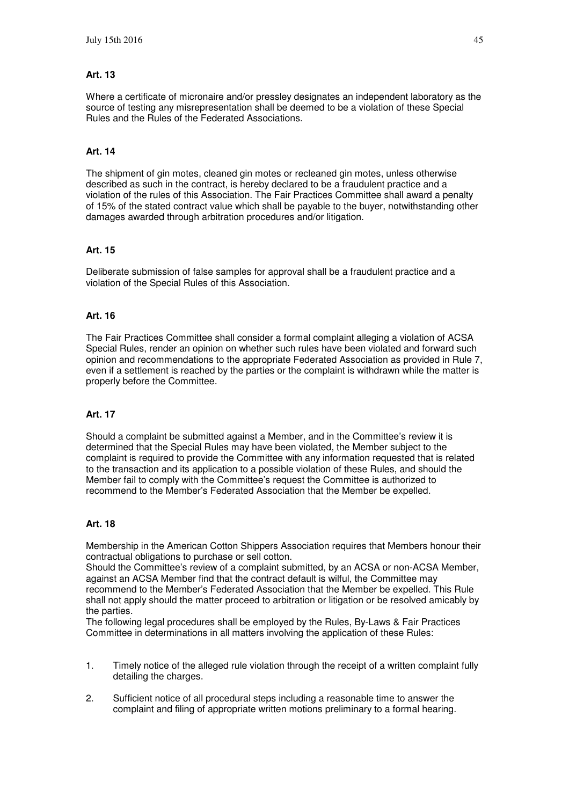#### **Art. 13**

Where a certificate of micronaire and/or pressley designates an independent laboratory as the source of testing any misrepresentation shall be deemed to be a violation of these Special Rules and the Rules of the Federated Associations.

#### **Art. 14**

The shipment of gin motes, cleaned gin motes or recleaned gin motes, unless otherwise described as such in the contract, is hereby declared to be a fraudulent practice and a violation of the rules of this Association. The Fair Practices Committee shall award a penalty of 15% of the stated contract value which shall be payable to the buyer, notwithstanding other damages awarded through arbitration procedures and/or litigation.

#### **Art. 15**

Deliberate submission of false samples for approval shall be a fraudulent practice and a violation of the Special Rules of this Association.

#### **Art. 16**

The Fair Practices Committee shall consider a formal complaint alleging a violation of ACSA Special Rules, render an opinion on whether such rules have been violated and forward such opinion and recommendations to the appropriate Federated Association as provided in Rule 7, even if a settlement is reached by the parties or the complaint is withdrawn while the matter is properly before the Committee.

#### **Art. 17**

Should a complaint be submitted against a Member, and in the Committee's review it is determined that the Special Rules may have been violated, the Member subject to the complaint is required to provide the Committee with any information requested that is related to the transaction and its application to a possible violation of these Rules, and should the Member fail to comply with the Committee's request the Committee is authorized to recommend to the Member's Federated Association that the Member be expelled.

#### **Art. 18**

Membership in the American Cotton Shippers Association requires that Members honour their contractual obligations to purchase or sell cotton.

Should the Committee's review of a complaint submitted, by an ACSA or non-ACSA Member, against an ACSA Member find that the contract default is wilful, the Committee may recommend to the Member's Federated Association that the Member be expelled. This Rule shall not apply should the matter proceed to arbitration or litigation or be resolved amicably by the parties.

The following legal procedures shall be employed by the Rules, By-Laws & Fair Practices Committee in determinations in all matters involving the application of these Rules:

- 1. Timely notice of the alleged rule violation through the receipt of a written complaint fully detailing the charges.
- 2. Sufficient notice of all procedural steps including a reasonable time to answer the complaint and filing of appropriate written motions preliminary to a formal hearing.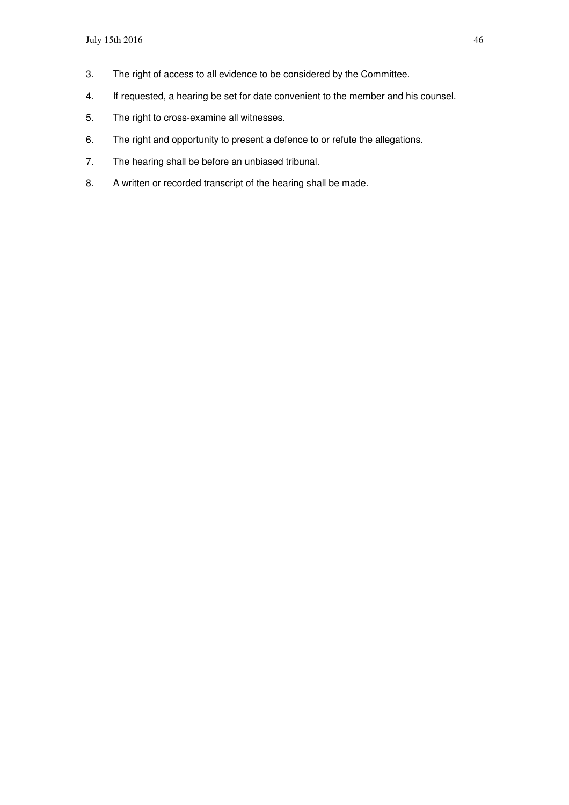- 3. The right of access to all evidence to be considered by the Committee.
- 4. If requested, a hearing be set for date convenient to the member and his counsel.
- 5. The right to cross-examine all witnesses.
- 6. The right and opportunity to present a defence to or refute the allegations.
- 7. The hearing shall be before an unbiased tribunal.
- 8. A written or recorded transcript of the hearing shall be made.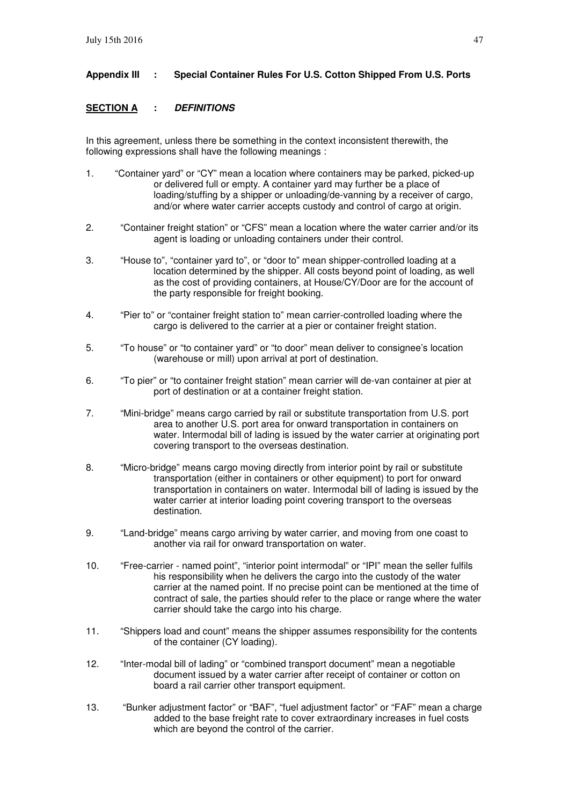### **Appendix III : Special Container Rules For U.S. Cotton Shipped From U.S. Ports**

### **SECTION A : DEFINITIONS**

In this agreement, unless there be something in the context inconsistent therewith, the following expressions shall have the following meanings :

- 1. "Container yard" or "CY" mean a location where containers may be parked, picked-up or delivered full or empty. A container yard may further be a place of loading/stuffing by a shipper or unloading/de-vanning by a receiver of cargo, and/or where water carrier accepts custody and control of cargo at origin.
- 2. "Container freight station" or "CFS" mean a location where the water carrier and/or its agent is loading or unloading containers under their control.
- 3. "House to", "container yard to", or "door to" mean shipper-controlled loading at a location determined by the shipper. All costs beyond point of loading, as well as the cost of providing containers, at House/CY/Door are for the account of the party responsible for freight booking.
- 4. "Pier to" or "container freight station to" mean carrier-controlled loading where the cargo is delivered to the carrier at a pier or container freight station.
- 5. "To house" or "to container yard" or "to door" mean deliver to consignee's location (warehouse or mill) upon arrival at port of destination.
- 6. "To pier" or "to container freight station" mean carrier will de-van container at pier at port of destination or at a container freight station.
- 7. "Mini-bridge" means cargo carried by rail or substitute transportation from U.S. port area to another U.S. port area for onward transportation in containers on water. Intermodal bill of lading is issued by the water carrier at originating port covering transport to the overseas destination.
- 8. "Micro-bridge" means cargo moving directly from interior point by rail or substitute transportation (either in containers or other equipment) to port for onward transportation in containers on water. Intermodal bill of lading is issued by the water carrier at interior loading point covering transport to the overseas destination.
- 9. "Land-bridge" means cargo arriving by water carrier, and moving from one coast to another via rail for onward transportation on water.
- 10. "Free-carrier named point", "interior point intermodal" or "IPI" mean the seller fulfils his responsibility when he delivers the cargo into the custody of the water carrier at the named point. If no precise point can be mentioned at the time of contract of sale, the parties should refer to the place or range where the water carrier should take the cargo into his charge.
- 11. "Shippers load and count" means the shipper assumes responsibility for the contents of the container (CY loading).
- 12. "Inter-modal bill of lading" or "combined transport document" mean a negotiable document issued by a water carrier after receipt of container or cotton on board a rail carrier other transport equipment.
- 13. "Bunker adjustment factor" or "BAF", "fuel adjustment factor" or "FAF" mean a charge added to the base freight rate to cover extraordinary increases in fuel costs which are beyond the control of the carrier.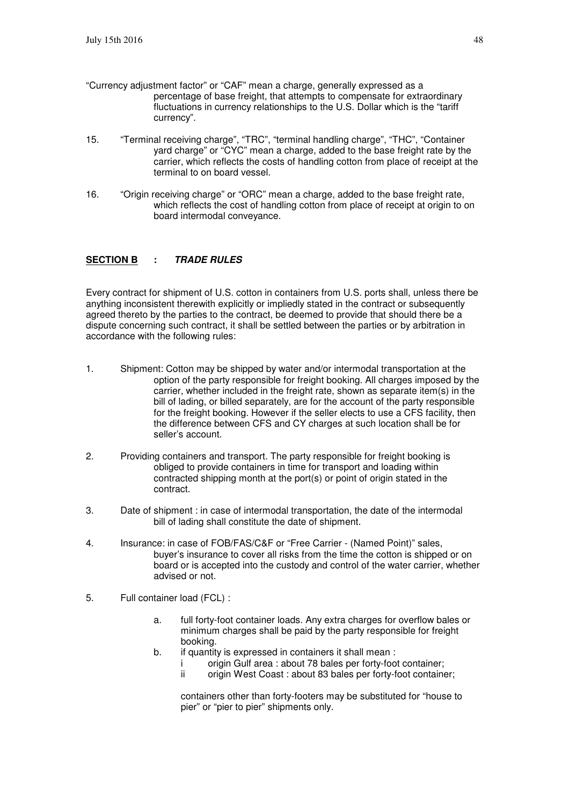- "Currency adjustment factor" or "CAF" mean a charge, generally expressed as a percentage of base freight, that attempts to compensate for extraordinary fluctuations in currency relationships to the U.S. Dollar which is the "tariff currency".
- 15. "Terminal receiving charge", "TRC", "terminal handling charge", "THC", "Container yard charge" or "CYC" mean a charge, added to the base freight rate by the carrier, which reflects the costs of handling cotton from place of receipt at the terminal to on board vessel.
- 16. "Origin receiving charge" or "ORC" mean a charge, added to the base freight rate, which reflects the cost of handling cotton from place of receipt at origin to on board intermodal conveyance.

#### **SECTION B : TRADE RULES**

Every contract for shipment of U.S. cotton in containers from U.S. ports shall, unless there be anything inconsistent therewith explicitly or impliedly stated in the contract or subsequently agreed thereto by the parties to the contract, be deemed to provide that should there be a dispute concerning such contract, it shall be settled between the parties or by arbitration in accordance with the following rules:

- 1. Shipment: Cotton may be shipped by water and/or intermodal transportation at the option of the party responsible for freight booking. All charges imposed by the carrier, whether included in the freight rate, shown as separate item(s) in the bill of lading, or billed separately, are for the account of the party responsible for the freight booking. However if the seller elects to use a CFS facility, then the difference between CFS and CY charges at such location shall be for seller's account.
- 2. Providing containers and transport. The party responsible for freight booking is obliged to provide containers in time for transport and loading within contracted shipping month at the port(s) or point of origin stated in the contract.
- 3. Date of shipment : in case of intermodal transportation, the date of the intermodal bill of lading shall constitute the date of shipment.
- 4. Insurance: in case of FOB/FAS/C&F or "Free Carrier (Named Point)" sales, buyer's insurance to cover all risks from the time the cotton is shipped or on board or is accepted into the custody and control of the water carrier, whether advised or not.
- 5. Full container load (FCL) :
	- a. full forty-foot container loads. Any extra charges for overflow bales or minimum charges shall be paid by the party responsible for freight booking.
	- b. if quantity is expressed in containers it shall mean :
		- i origin Gulf area : about 78 bales per forty-foot container;<br>ii origin West Coast : about 83 bales per forty-foot containe
		- origin West Coast : about 83 bales per forty-foot container;

 containers other than forty-footers may be substituted for "house to pier" or "pier to pier" shipments only.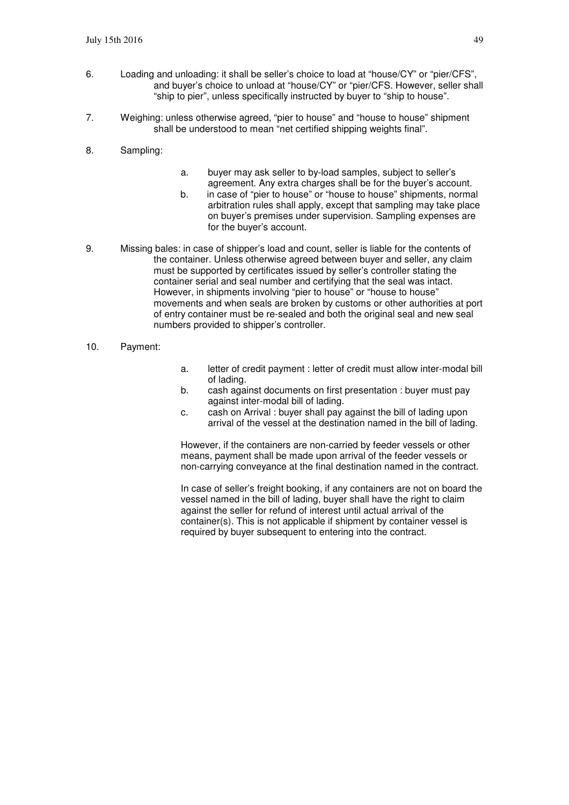- 6. Loading and unloading: it shall be seller's choice to load at "house/CY" or "pier/CFS", and buyer's choice to unload at "house/CY" or "pier/CFS. However, seller shall "ship to pier", unless specifically instructed by buyer to "ship to house".
- 7. Weighing: unless otherwise agreed, "pier to house" and "house to house" shipment shall be understood to mean "net certified shipping weights final".
- 8. Sampling:
- a. buyer may ask seller to by-load samples, subject to seller's agreement. Any extra charges shall be for the buyer's account.
- b. in case of "pier to house" or "house to house" shipments, normal arbitration rules shall apply, except that sampling may take place on buyer's premises under supervision. Sampling expenses are for the buyer's account.
- 9. Missing bales: in case of shipper's load and count, seller is liable for the contents of the container. Unless otherwise agreed between buyer and seller, any claim must be supported by certificates issued by seller's controller stating the container serial and seal number and certifying that the seal was intact. However, in shipments involving "pier to house" or "house to house" movements and when seals are broken by customs or other authorities at port of entry container must be re-sealed and both the original seal and new seal numbers provided to shipper's controller.
- 10. Payment:
- a. letter of credit payment : letter of credit must allow inter-modal bill of lading.
- b. cash against documents on first presentation : buyer must pay against inter-modal bill of lading.
- c. cash on Arrival : buyer shall pay against the bill of lading upon arrival of the vessel at the destination named in the bill of lading.

However, if the containers are non-carried by feeder vessels or other means, payment shall be made upon arrival of the feeder vessels or non-carrying conveyance at the final destination named in the contract.

In case of seller's freight booking, if any containers are not on board the vessel named in the bill of lading, buyer shall have the right to claim against the seller for refund of interest until actual arrival of the container(s). This is not applicable if shipment by container vessel is required by buyer subsequent to entering into the contract.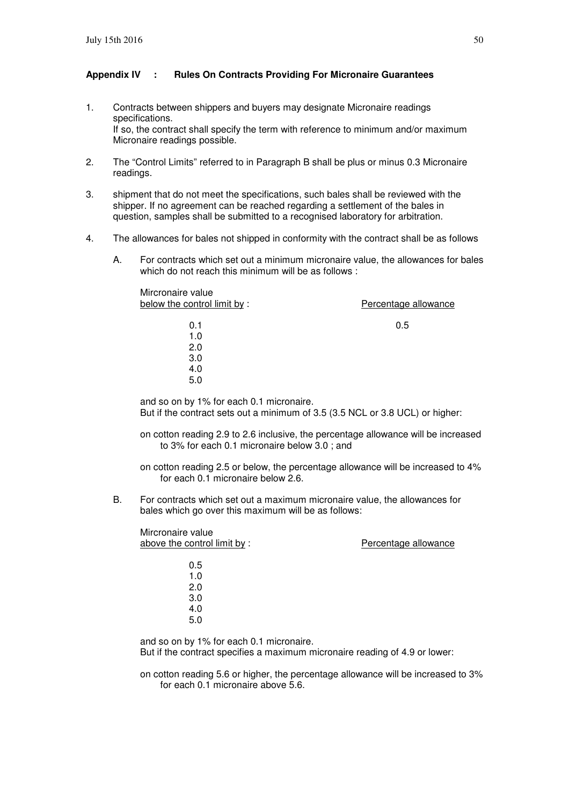#### **Appendix IV : Rules On Contracts Providing For Micronaire Guarantees**

- 1. Contracts between shippers and buyers may designate Micronaire readings specifications. If so, the contract shall specify the term with reference to minimum and/or maximum Micronaire readings possible.
- 2. The "Control Limits" referred to in Paragraph B shall be plus or minus 0.3 Micronaire readings.
- 3. shipment that do not meet the specifications, such bales shall be reviewed with the shipper. If no agreement can be reached regarding a settlement of the bales in question, samples shall be submitted to a recognised laboratory for arbitration.
- 4. The allowances for bales not shipped in conformity with the contract shall be as follows
	- A. For contracts which set out a minimum micronaire value, the allowances for bales which do not reach this minimum will be as follows :

| Mircronaire value           |                      |
|-----------------------------|----------------------|
| below the control limit by: | Percentage allowance |
|                             |                      |
| 0.1                         | 0.5                  |
| 1.0                         |                      |
| 2.0                         |                      |
| 3.0                         |                      |
| 4.0                         |                      |
| 5.0                         |                      |
|                             |                      |

and so on by 1% for each 0.1 micronaire. But if the contract sets out a minimum of 3.5 (3.5 NCL or 3.8 UCL) or higher:

on cotton reading 2.9 to 2.6 inclusive, the percentage allowance will be increased to 3% for each 0.1 micronaire below 3.0 ; and

- on cotton reading 2.5 or below, the percentage allowance will be increased to 4% for each 0.1 micronaire below 2.6.
- B. For contracts which set out a maximum micronaire value, the allowances for bales which go over this maximum will be as follows:

Mircronaire value above the control limit by : <br>
Percentage allowance 0.5 1.0 2.0 3.0 4.0 5.0

and so on by 1% for each 0.1 micronaire. But if the contract specifies a maximum micronaire reading of 4.9 or lower:

on cotton reading 5.6 or higher, the percentage allowance will be increased to 3% for each 0.1 micronaire above 5.6.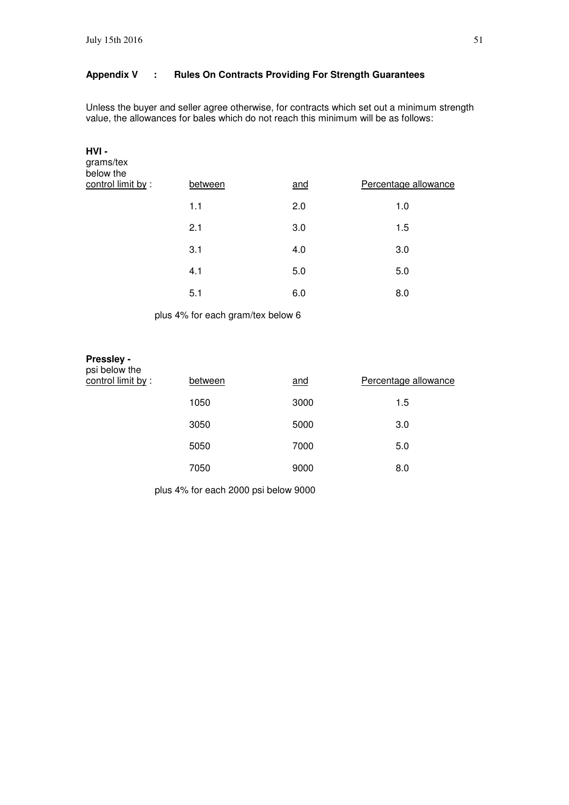### **Appendix V : Rules On Contracts Providing For Strength Guarantees**

Unless the buyer and seller agree otherwise, for contracts which set out a minimum strength value, the allowances for bales which do not reach this minimum will be as follows:

|     |         | Percentage allowance |
|-----|---------|----------------------|
| 1.1 | 2.0     | 1.0                  |
| 2.1 | 3.0     | 1.5                  |
| 3.1 | 4.0     | 3.0                  |
| 4.1 | 5.0     | 5.0                  |
| 5.1 | 6.0     | 8.0                  |
|     | between | and                  |

plus 4% for each gram/tex below 6

#### **Pressley**  psi below the

| below the<br>control limit by : | between | and  | Percentage allowance |
|---------------------------------|---------|------|----------------------|
|                                 | 1050    | 3000 | 1.5                  |
|                                 | 3050    | 5000 | 3.0                  |
|                                 | 5050    | 7000 | 5.0                  |
|                                 | 7050    | 9000 | 8.0                  |

plus 4% for each 2000 psi below 9000